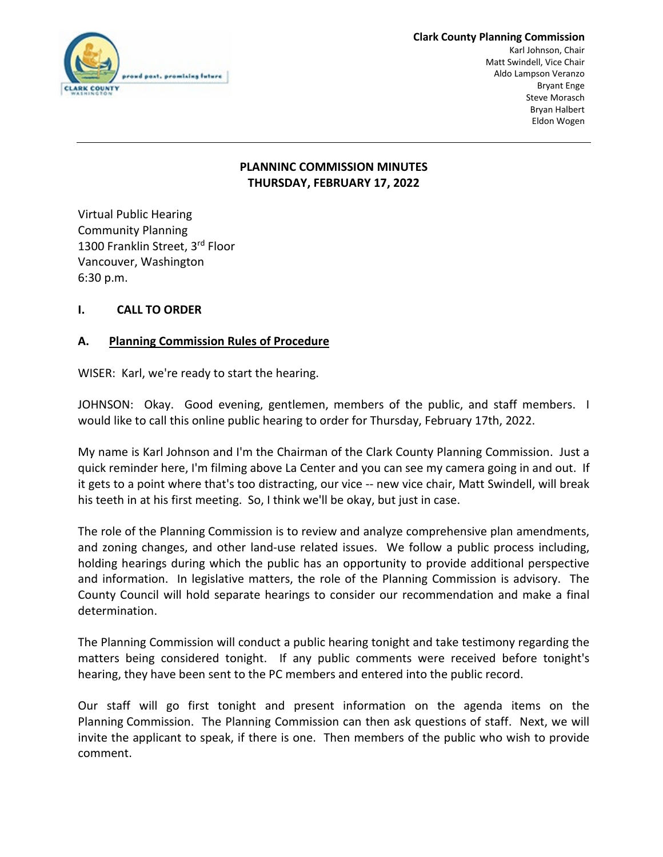

#### **Clark County Planning Commission**

Karl Johnson, Chair Matt Swindell, Vice Chair Aldo Lampson Veranzo Bryant Enge Steve Morasch Bryan Halbert Eldon Wogen

# **PLANNINC COMMISSION MINUTES THURSDAY, FEBRUARY 17, 2022**

Virtual Public Hearing Community Planning 1300 Franklin Street, 3rd Floor Vancouver, Washington 6:30 p.m.

# **I. CALL TO ORDER**

# **A. Planning Commission Rules of Procedure**

WISER: Karl, we're ready to start the hearing.

JOHNSON: Okay. Good evening, gentlemen, members of the public, and staff members. I would like to call this online public hearing to order for Thursday, February 17th, 2022.

My name is Karl Johnson and I'm the Chairman of the Clark County Planning Commission. Just a quick reminder here, I'm filming above La Center and you can see my camera going in and out. If it gets to a point where that's too distracting, our vice -- new vice chair, Matt Swindell, will break his teeth in at his first meeting. So, I think we'll be okay, but just in case.

The role of the Planning Commission is to review and analyze comprehensive plan amendments, and zoning changes, and other land-use related issues. We follow a public process including, holding hearings during which the public has an opportunity to provide additional perspective and information. In legislative matters, the role of the Planning Commission is advisory. The County Council will hold separate hearings to consider our recommendation and make a final determination.

The Planning Commission will conduct a public hearing tonight and take testimony regarding the matters being considered tonight. If any public comments were received before tonight's hearing, they have been sent to the PC members and entered into the public record.

Our staff will go first tonight and present information on the agenda items on the Planning Commission. The Planning Commission can then ask questions of staff. Next, we will invite the applicant to speak, if there is one. Then members of the public who wish to provide comment.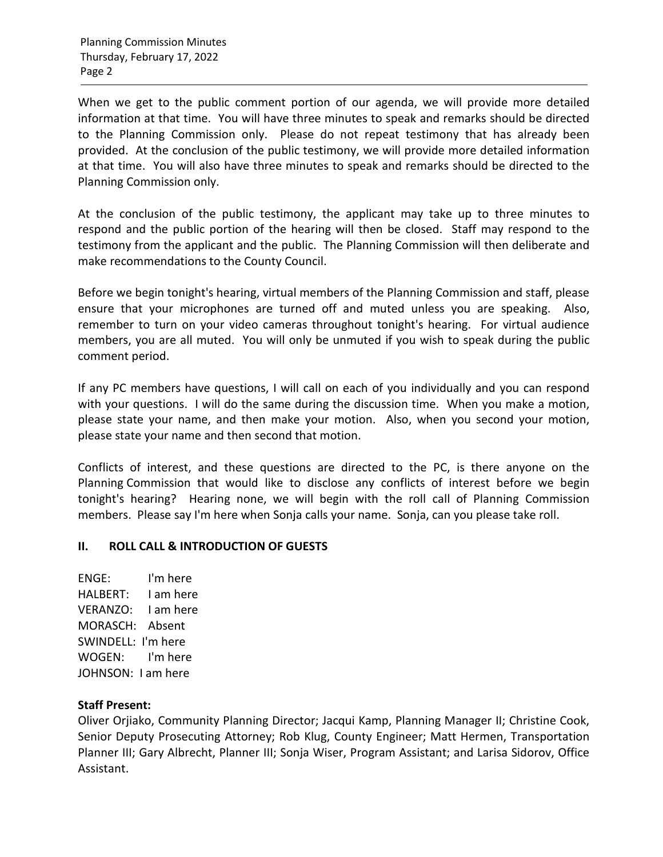When we get to the public comment portion of our agenda, we will provide more detailed information at that time. You will have three minutes to speak and remarks should be directed to the Planning Commission only. Please do not repeat testimony that has already been provided. At the conclusion of the public testimony, we will provide more detailed information at that time. You will also have three minutes to speak and remarks should be directed to the Planning Commission only.

At the conclusion of the public testimony, the applicant may take up to three minutes to respond and the public portion of the hearing will then be closed. Staff may respond to the testimony from the applicant and the public. The Planning Commission will then deliberate and make recommendations to the County Council.

Before we begin tonight's hearing, virtual members of the Planning Commission and staff, please ensure that your microphones are turned off and muted unless you are speaking. Also, remember to turn on your video cameras throughout tonight's hearing. For virtual audience members, you are all muted. You will only be unmuted if you wish to speak during the public comment period.

If any PC members have questions, I will call on each of you individually and you can respond with your questions. I will do the same during the discussion time. When you make a motion, please state your name, and then make your motion. Also, when you second your motion, please state your name and then second that motion.

Conflicts of interest, and these questions are directed to the PC, is there anyone on the Planning Commission that would like to disclose any conflicts of interest before we begin tonight's hearing? Hearing none, we will begin with the roll call of Planning Commission members. Please say I'm here when Sonja calls your name. Sonja, can you please take roll.

## **II. ROLL CALL & INTRODUCTION OF GUESTS**

ENGE: I'm here HALBERT: I am here VERANZO: I am here MORASCH: Absent SWINDELL: I'm here WOGEN: I'm here JOHNSON: I am here

## **Staff Present:**

Oliver Orjiako, Community Planning Director; Jacqui Kamp, Planning Manager II; Christine Cook, Senior Deputy Prosecuting Attorney; Rob Klug, County Engineer; Matt Hermen, Transportation Planner III; Gary Albrecht, Planner III; Sonja Wiser, Program Assistant; and Larisa Sidorov, Office Assistant.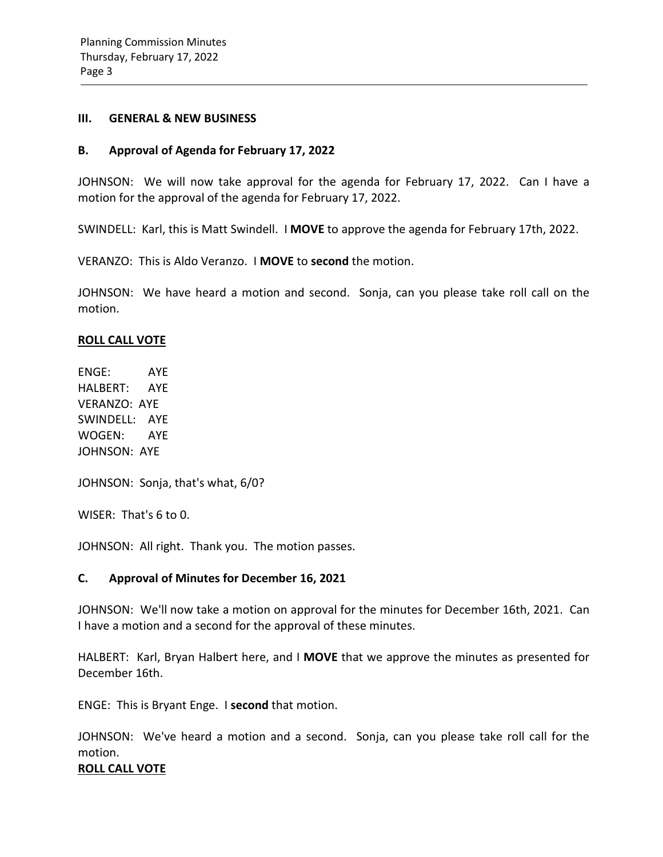#### **III. GENERAL & NEW BUSINESS**

### **B. Approval of Agenda for February 17, 2022**

JOHNSON: We will now take approval for the agenda for February 17, 2022. Can I have a motion for the approval of the agenda for February 17, 2022.

SWINDELL: Karl, this is Matt Swindell. I **MOVE** to approve the agenda for February 17th, 2022.

VERANZO: This is Aldo Veranzo. I **MOVE** to **second** the motion.

JOHNSON: We have heard a motion and second. Sonja, can you please take roll call on the motion.

### **ROLL CALL VOTE**

ENGE: AYE HALBERT: AYE VERANZO: AYE SWINDELL: AYE WOGEN: AYE JOHNSON: AYE

JOHNSON: Sonja, that's what, 6/0?

WISER: That's 6 to 0.

JOHNSON: All right. Thank you. The motion passes.

## **C. Approval of Minutes for December 16, 2021**

JOHNSON: We'll now take a motion on approval for the minutes for December 16th, 2021. Can I have a motion and a second for the approval of these minutes.

HALBERT: Karl, Bryan Halbert here, and I **MOVE** that we approve the minutes as presented for December 16th.

ENGE: This is Bryant Enge. I **second** that motion.

JOHNSON: We've heard a motion and a second. Sonja, can you please take roll call for the motion.

### **ROLL CALL VOTE**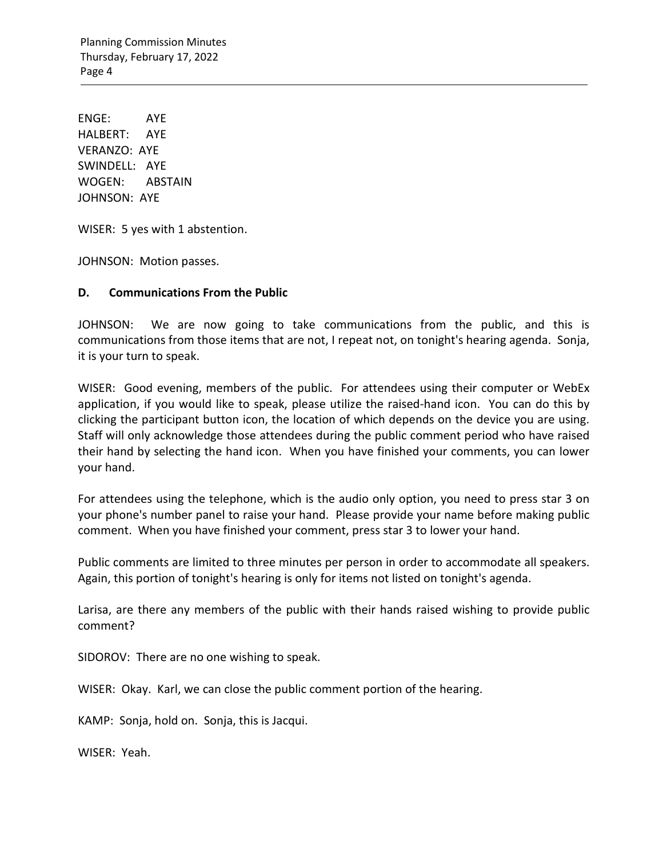Planning Commission Minutes Thursday, February 17, 2022 Page 4

ENGE: AYE HALBERT: AYE VERANZO: AYE SWINDELL: AYE WOGEN: ABSTAIN JOHNSON: AYE

WISER: 5 yes with 1 abstention.

JOHNSON: Motion passes.

### **D. Communications From the Public**

JOHNSON: We are now going to take communications from the public, and this is communications from those items that are not, I repeat not, on tonight's hearing agenda. Sonja, it is your turn to speak.

WISER: Good evening, members of the public. For attendees using their computer or WebEx application, if you would like to speak, please utilize the raised-hand icon. You can do this by clicking the participant button icon, the location of which depends on the device you are using. Staff will only acknowledge those attendees during the public comment period who have raised their hand by selecting the hand icon. When you have finished your comments, you can lower your hand.

For attendees using the telephone, which is the audio only option, you need to press star 3 on your phone's number panel to raise your hand. Please provide your name before making public comment. When you have finished your comment, press star 3 to lower your hand.

Public comments are limited to three minutes per person in order to accommodate all speakers. Again, this portion of tonight's hearing is only for items not listed on tonight's agenda.

Larisa, are there any members of the public with their hands raised wishing to provide public comment?

SIDOROV: There are no one wishing to speak.

WISER: Okay. Karl, we can close the public comment portion of the hearing.

KAMP: Sonja, hold on. Sonja, this is Jacqui.

WISER: Yeah.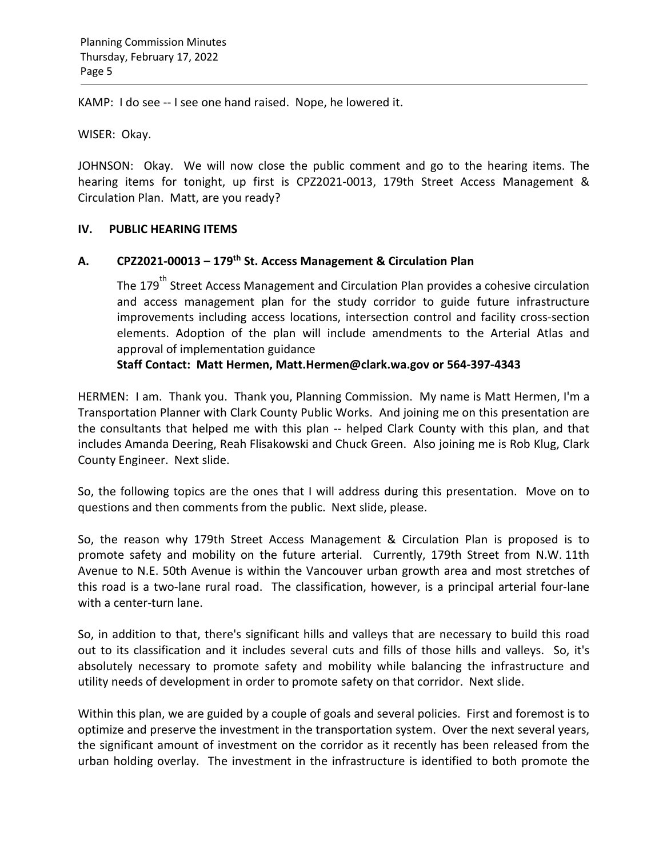KAMP: I do see -- I see one hand raised. Nope, he lowered it.

WISER: Okay.

JOHNSON: Okay. We will now close the public comment and go to the hearing items. The hearing items for tonight, up first is CPZ2021-0013, 179th Street Access Management & Circulation Plan. Matt, are you ready?

## **IV. PUBLIC HEARING ITEMS**

## **A. CPZ2021-00013 – 179th St. Access Management & Circulation Plan**

The 179<sup>th</sup> Street Access Management and Circulation Plan provides a cohesive circulation and access management plan for the study corridor to guide future infrastructure improvements including access locations, intersection control and facility cross-section elements. Adoption of the plan will include amendments to the Arterial Atlas and approval of implementation guidance

**Staff Contact: Matt Hermen, [Matt.Hermen@clark.wa.gov](mailto:Matt.Hermen@clark.wa.gov) or 564-397-4343**

HERMEN: I am. Thank you. Thank you, Planning Commission. My name is Matt Hermen, I'm a Transportation Planner with Clark County Public Works. And joining me on this presentation are the consultants that helped me with this plan -- helped Clark County with this plan, and that includes Amanda Deering, Reah Flisakowski and Chuck Green. Also joining me is Rob Klug, Clark County Engineer. Next slide.

So, the following topics are the ones that I will address during this presentation. Move on to questions and then comments from the public. Next slide, please.

So, the reason why 179th Street Access Management & Circulation Plan is proposed is to promote safety and mobility on the future arterial. Currently, 179th Street from N.W. 11th Avenue to N.E. 50th Avenue is within the Vancouver urban growth area and most stretches of this road is a two-lane rural road. The classification, however, is a principal arterial four-lane with a center-turn lane.

So, in addition to that, there's significant hills and valleys that are necessary to build this road out to its classification and it includes several cuts and fills of those hills and valleys. So, it's absolutely necessary to promote safety and mobility while balancing the infrastructure and utility needs of development in order to promote safety on that corridor. Next slide.

Within this plan, we are guided by a couple of goals and several policies. First and foremost is to optimize and preserve the investment in the transportation system. Over the next several years, the significant amount of investment on the corridor as it recently has been released from the urban holding overlay. The investment in the infrastructure is identified to both promote the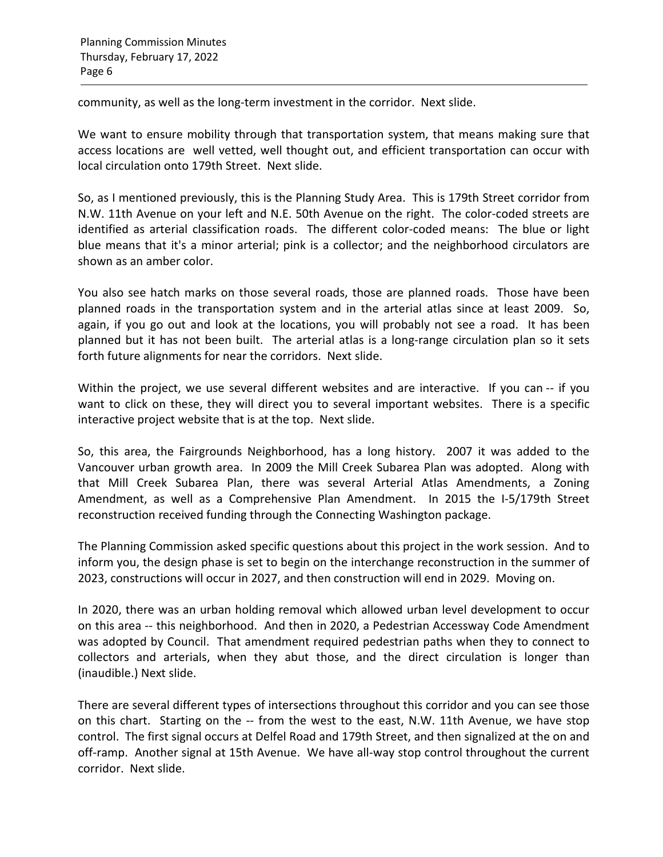community, as well as the long-term investment in the corridor. Next slide.

We want to ensure mobility through that transportation system, that means making sure that access locations are well vetted, well thought out, and efficient transportation can occur with local circulation onto 179th Street. Next slide.

So, as I mentioned previously, this is the Planning Study Area. This is 179th Street corridor from N.W. 11th Avenue on your left and N.E. 50th Avenue on the right. The color-coded streets are identified as arterial classification roads. The different color-coded means: The blue or light blue means that it's a minor arterial; pink is a collector; and the neighborhood circulators are shown as an amber color.

You also see hatch marks on those several roads, those are planned roads. Those have been planned roads in the transportation system and in the arterial atlas since at least 2009. So, again, if you go out and look at the locations, you will probably not see a road. It has been planned but it has not been built. The arterial atlas is a long-range circulation plan so it sets forth future alignments for near the corridors. Next slide.

Within the project, we use several different websites and are interactive. If you can -- if you want to click on these, they will direct you to several important websites. There is a specific interactive project website that is at the top. Next slide.

So, this area, the Fairgrounds Neighborhood, has a long history. 2007 it was added to the Vancouver urban growth area. In 2009 the Mill Creek Subarea Plan was adopted. Along with that Mill Creek Subarea Plan, there was several Arterial Atlas Amendments, a Zoning Amendment, as well as a Comprehensive Plan Amendment. In 2015 the I-5/179th Street reconstruction received funding through the Connecting Washington package.

The Planning Commission asked specific questions about this project in the work session. And to inform you, the design phase is set to begin on the interchange reconstruction in the summer of 2023, constructions will occur in 2027, and then construction will end in 2029. Moving on.

In 2020, there was an urban holding removal which allowed urban level development to occur on this area -- this neighborhood. And then in 2020, a Pedestrian Accessway Code Amendment was adopted by Council. That amendment required pedestrian paths when they to connect to collectors and arterials, when they abut those, and the direct circulation is longer than (inaudible.) Next slide.

There are several different types of intersections throughout this corridor and you can see those on this chart. Starting on the -- from the west to the east, N.W. 11th Avenue, we have stop control. The first signal occurs at Delfel Road and 179th Street, and then signalized at the on and off-ramp. Another signal at 15th Avenue. We have all-way stop control throughout the current corridor. Next slide.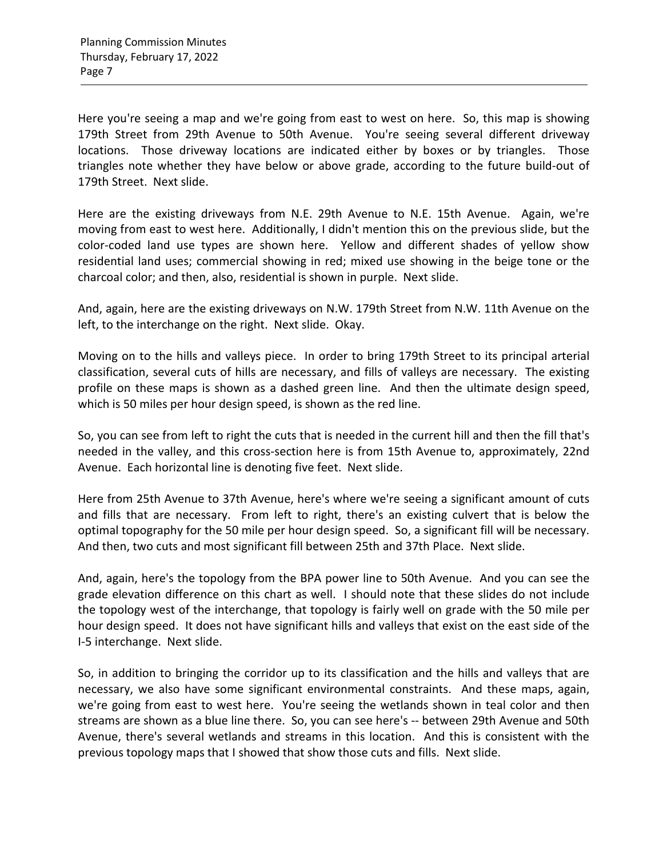Here you're seeing a map and we're going from east to west on here. So, this map is showing 179th Street from 29th Avenue to 50th Avenue. You're seeing several different driveway locations. Those driveway locations are indicated either by boxes or by triangles. Those triangles note whether they have below or above grade, according to the future build-out of 179th Street. Next slide.

Here are the existing driveways from N.E. 29th Avenue to N.E. 15th Avenue. Again, we're moving from east to west here. Additionally, I didn't mention this on the previous slide, but the color-coded land use types are shown here. Yellow and different shades of yellow show residential land uses; commercial showing in red; mixed use showing in the beige tone or the charcoal color; and then, also, residential is shown in purple. Next slide.

And, again, here are the existing driveways on N.W. 179th Street from N.W. 11th Avenue on the left, to the interchange on the right. Next slide. Okay.

Moving on to the hills and valleys piece. In order to bring 179th Street to its principal arterial classification, several cuts of hills are necessary, and fills of valleys are necessary. The existing profile on these maps is shown as a dashed green line. And then the ultimate design speed, which is 50 miles per hour design speed, is shown as the red line.

So, you can see from left to right the cuts that is needed in the current hill and then the fill that's needed in the valley, and this cross-section here is from 15th Avenue to, approximately, 22nd Avenue. Each horizontal line is denoting five feet. Next slide.

Here from 25th Avenue to 37th Avenue, here's where we're seeing a significant amount of cuts and fills that are necessary. From left to right, there's an existing culvert that is below the optimal topography for the 50 mile per hour design speed. So, a significant fill will be necessary. And then, two cuts and most significant fill between 25th and 37th Place. Next slide.

And, again, here's the topology from the BPA power line to 50th Avenue. And you can see the grade elevation difference on this chart as well. I should note that these slides do not include the topology west of the interchange, that topology is fairly well on grade with the 50 mile per hour design speed. It does not have significant hills and valleys that exist on the east side of the I-5 interchange. Next slide.

So, in addition to bringing the corridor up to its classification and the hills and valleys that are necessary, we also have some significant environmental constraints. And these maps, again, we're going from east to west here. You're seeing the wetlands shown in teal color and then streams are shown as a blue line there. So, you can see here's -- between 29th Avenue and 50th Avenue, there's several wetlands and streams in this location. And this is consistent with the previous topology maps that I showed that show those cuts and fills. Next slide.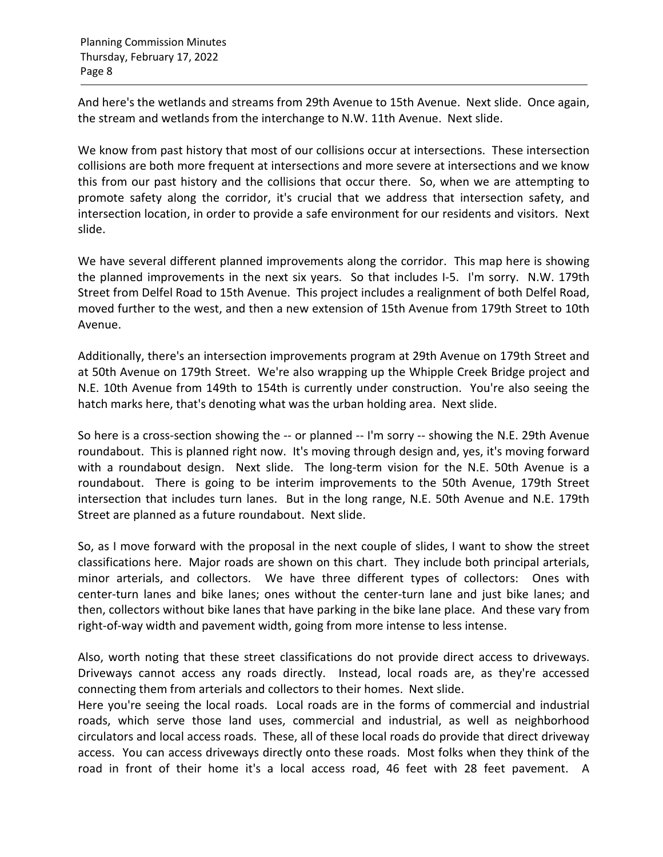And here's the wetlands and streams from 29th Avenue to 15th Avenue. Next slide. Once again, the stream and wetlands from the interchange to N.W. 11th Avenue. Next slide.

We know from past history that most of our collisions occur at intersections. These intersection collisions are both more frequent at intersections and more severe at intersections and we know this from our past history and the collisions that occur there. So, when we are attempting to promote safety along the corridor, it's crucial that we address that intersection safety, and intersection location, in order to provide a safe environment for our residents and visitors. Next slide.

We have several different planned improvements along the corridor. This map here is showing the planned improvements in the next six years. So that includes I-5. I'm sorry. N.W. 179th Street from Delfel Road to 15th Avenue. This project includes a realignment of both Delfel Road, moved further to the west, and then a new extension of 15th Avenue from 179th Street to 10th Avenue.

Additionally, there's an intersection improvements program at 29th Avenue on 179th Street and at 50th Avenue on 179th Street. We're also wrapping up the Whipple Creek Bridge project and N.E. 10th Avenue from 149th to 154th is currently under construction. You're also seeing the hatch marks here, that's denoting what was the urban holding area. Next slide.

So here is a cross-section showing the -- or planned -- I'm sorry -- showing the N.E. 29th Avenue roundabout. This is planned right now. It's moving through design and, yes, it's moving forward with a roundabout design. Next slide. The long-term vision for the N.E. 50th Avenue is a roundabout. There is going to be interim improvements to the 50th Avenue, 179th Street intersection that includes turn lanes. But in the long range, N.E. 50th Avenue and N.E. 179th Street are planned as a future roundabout. Next slide.

So, as I move forward with the proposal in the next couple of slides, I want to show the street classifications here. Major roads are shown on this chart. They include both principal arterials, minor arterials, and collectors. We have three different types of collectors: Ones with center-turn lanes and bike lanes; ones without the center-turn lane and just bike lanes; and then, collectors without bike lanes that have parking in the bike lane place. And these vary from right-of-way width and pavement width, going from more intense to less intense.

Also, worth noting that these street classifications do not provide direct access to driveways. Driveways cannot access any roads directly. Instead, local roads are, as they're accessed connecting them from arterials and collectors to their homes. Next slide.

Here you're seeing the local roads. Local roads are in the forms of commercial and industrial roads, which serve those land uses, commercial and industrial, as well as neighborhood circulators and local access roads. These, all of these local roads do provide that direct driveway access. You can access driveways directly onto these roads. Most folks when they think of the road in front of their home it's a local access road, 46 feet with 28 feet pavement. A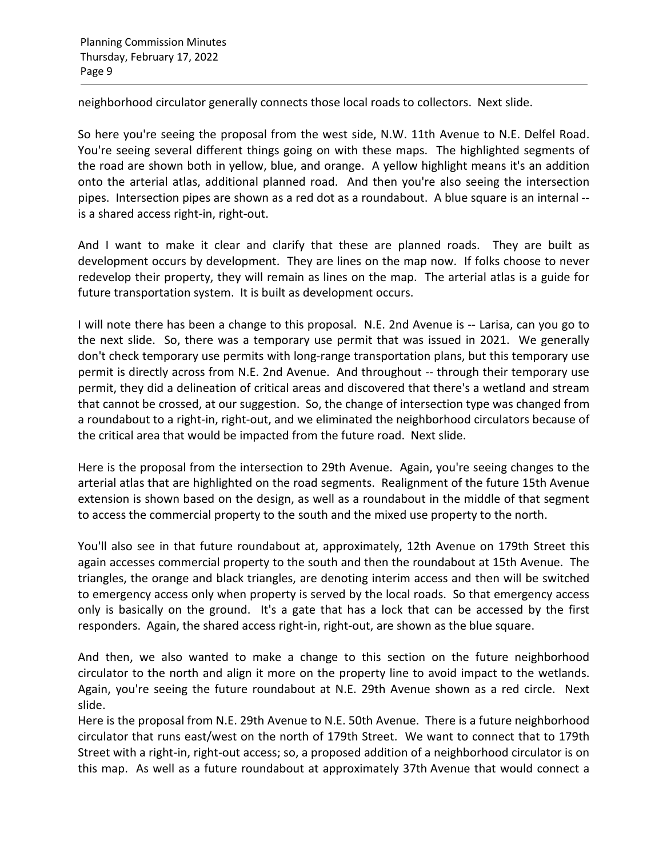neighborhood circulator generally connects those local roads to collectors. Next slide.

So here you're seeing the proposal from the west side, N.W. 11th Avenue to N.E. Delfel Road. You're seeing several different things going on with these maps. The highlighted segments of the road are shown both in yellow, blue, and orange. A yellow highlight means it's an addition onto the arterial atlas, additional planned road. And then you're also seeing the intersection pipes. Intersection pipes are shown as a red dot as a roundabout. A blue square is an internal - is a shared access right-in, right-out.

And I want to make it clear and clarify that these are planned roads. They are built as development occurs by development. They are lines on the map now. If folks choose to never redevelop their property, they will remain as lines on the map. The arterial atlas is a guide for future transportation system. It is built as development occurs.

I will note there has been a change to this proposal. N.E. 2nd Avenue is -- Larisa, can you go to the next slide. So, there was a temporary use permit that was issued in 2021. We generally don't check temporary use permits with long-range transportation plans, but this temporary use permit is directly across from N.E. 2nd Avenue. And throughout -- through their temporary use permit, they did a delineation of critical areas and discovered that there's a wetland and stream that cannot be crossed, at our suggestion. So, the change of intersection type was changed from a roundabout to a right-in, right-out, and we eliminated the neighborhood circulators because of the critical area that would be impacted from the future road. Next slide.

Here is the proposal from the intersection to 29th Avenue. Again, you're seeing changes to the arterial atlas that are highlighted on the road segments. Realignment of the future 15th Avenue extension is shown based on the design, as well as a roundabout in the middle of that segment to access the commercial property to the south and the mixed use property to the north.

You'll also see in that future roundabout at, approximately, 12th Avenue on 179th Street this again accesses commercial property to the south and then the roundabout at 15th Avenue. The triangles, the orange and black triangles, are denoting interim access and then will be switched to emergency access only when property is served by the local roads. So that emergency access only is basically on the ground. It's a gate that has a lock that can be accessed by the first responders. Again, the shared access right-in, right-out, are shown as the blue square.

And then, we also wanted to make a change to this section on the future neighborhood circulator to the north and align it more on the property line to avoid impact to the wetlands. Again, you're seeing the future roundabout at N.E. 29th Avenue shown as a red circle. Next slide.

Here is the proposal from N.E. 29th Avenue to N.E. 50th Avenue. There is a future neighborhood circulator that runs east/west on the north of 179th Street. We want to connect that to 179th Street with a right-in, right-out access; so, a proposed addition of a neighborhood circulator is on this map. As well as a future roundabout at approximately 37th Avenue that would connect a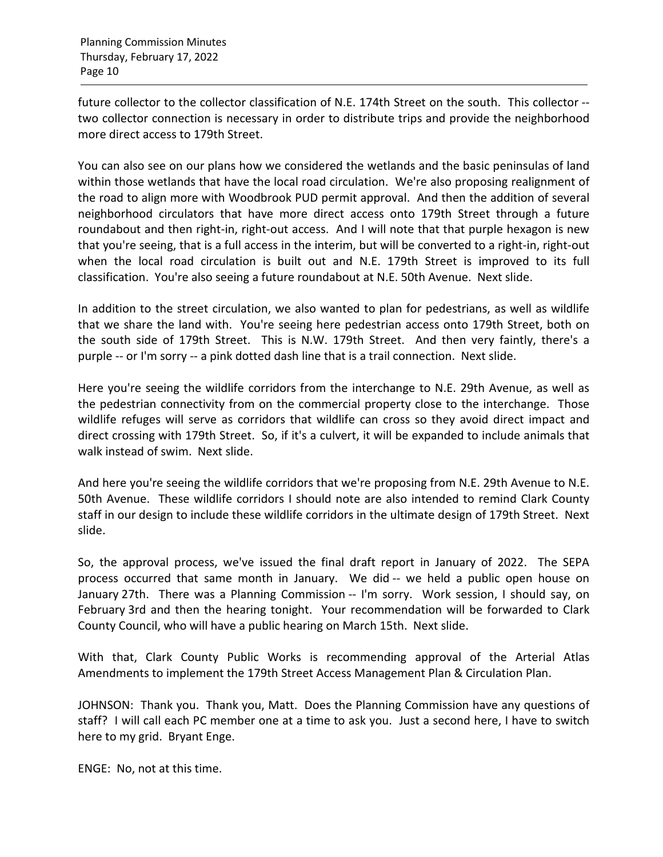future collector to the collector classification of N.E. 174th Street on the south. This collector - two collector connection is necessary in order to distribute trips and provide the neighborhood more direct access to 179th Street.

You can also see on our plans how we considered the wetlands and the basic peninsulas of land within those wetlands that have the local road circulation. We're also proposing realignment of the road to align more with Woodbrook PUD permit approval. And then the addition of several neighborhood circulators that have more direct access onto 179th Street through a future roundabout and then right-in, right-out access. And I will note that that purple hexagon is new that you're seeing, that is a full access in the interim, but will be converted to a right-in, right-out when the local road circulation is built out and N.E. 179th Street is improved to its full classification. You're also seeing a future roundabout at N.E. 50th Avenue. Next slide.

In addition to the street circulation, we also wanted to plan for pedestrians, as well as wildlife that we share the land with. You're seeing here pedestrian access onto 179th Street, both on the south side of 179th Street. This is N.W. 179th Street. And then very faintly, there's a purple -- or I'm sorry -- a pink dotted dash line that is a trail connection. Next slide.

Here you're seeing the wildlife corridors from the interchange to N.E. 29th Avenue, as well as the pedestrian connectivity from on the commercial property close to the interchange. Those wildlife refuges will serve as corridors that wildlife can cross so they avoid direct impact and direct crossing with 179th Street. So, if it's a culvert, it will be expanded to include animals that walk instead of swim. Next slide.

And here you're seeing the wildlife corridors that we're proposing from N.E. 29th Avenue to N.E. 50th Avenue. These wildlife corridors I should note are also intended to remind Clark County staff in our design to include these wildlife corridors in the ultimate design of 179th Street. Next slide.

So, the approval process, we've issued the final draft report in January of 2022. The SEPA process occurred that same month in January. We did -- we held a public open house on January 27th. There was a Planning Commission -- I'm sorry. Work session, I should say, on February 3rd and then the hearing tonight. Your recommendation will be forwarded to Clark County Council, who will have a public hearing on March 15th. Next slide.

With that, Clark County Public Works is recommending approval of the Arterial Atlas Amendments to implement the 179th Street Access Management Plan & Circulation Plan.

JOHNSON: Thank you. Thank you, Matt. Does the Planning Commission have any questions of staff? I will call each PC member one at a time to ask you. Just a second here, I have to switch here to my grid. Bryant Enge.

ENGE: No, not at this time.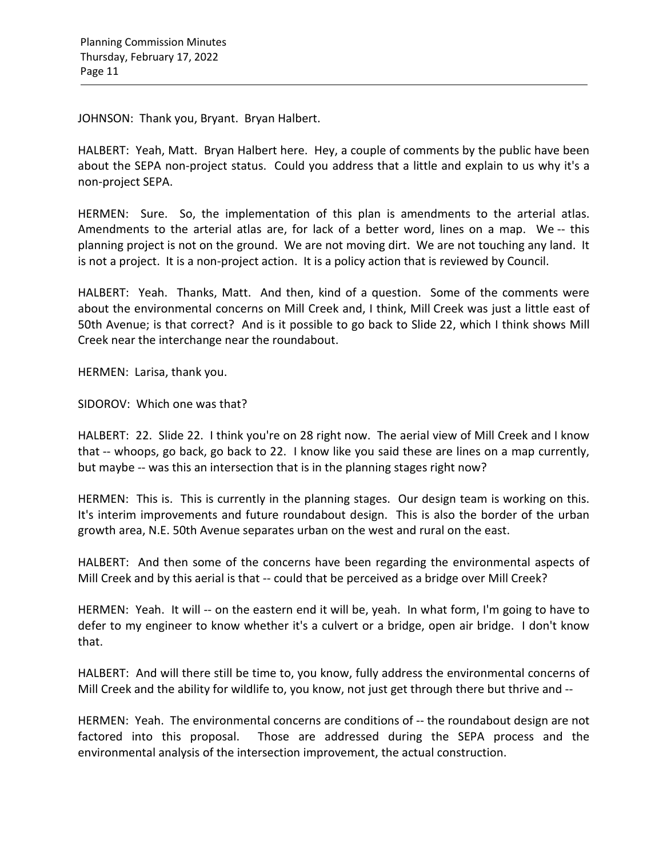JOHNSON: Thank you, Bryant. Bryan Halbert.

HALBERT: Yeah, Matt. Bryan Halbert here. Hey, a couple of comments by the public have been about the SEPA non-project status. Could you address that a little and explain to us why it's a non-project SEPA.

HERMEN: Sure. So, the implementation of this plan is amendments to the arterial atlas. Amendments to the arterial atlas are, for lack of a better word, lines on a map. We -- this planning project is not on the ground. We are not moving dirt. We are not touching any land. It is not a project. It is a non-project action. It is a policy action that is reviewed by Council.

HALBERT: Yeah. Thanks, Matt. And then, kind of a question. Some of the comments were about the environmental concerns on Mill Creek and, I think, Mill Creek was just a little east of 50th Avenue; is that correct? And is it possible to go back to Slide 22, which I think shows Mill Creek near the interchange near the roundabout.

HERMEN: Larisa, thank you.

SIDOROV: Which one was that?

HALBERT: 22. Slide 22. I think you're on 28 right now. The aerial view of Mill Creek and I know that -- whoops, go back, go back to 22. I know like you said these are lines on a map currently, but maybe -- was this an intersection that is in the planning stages right now?

HERMEN: This is. This is currently in the planning stages. Our design team is working on this. It's interim improvements and future roundabout design. This is also the border of the urban growth area, N.E. 50th Avenue separates urban on the west and rural on the east.

HALBERT: And then some of the concerns have been regarding the environmental aspects of Mill Creek and by this aerial is that -- could that be perceived as a bridge over Mill Creek?

HERMEN: Yeah. It will -- on the eastern end it will be, yeah. In what form, I'm going to have to defer to my engineer to know whether it's a culvert or a bridge, open air bridge. I don't know that.

HALBERT: And will there still be time to, you know, fully address the environmental concerns of Mill Creek and the ability for wildlife to, you know, not just get through there but thrive and --

HERMEN: Yeah. The environmental concerns are conditions of -- the roundabout design are not factored into this proposal. Those are addressed during the SEPA process and the environmental analysis of the intersection improvement, the actual construction.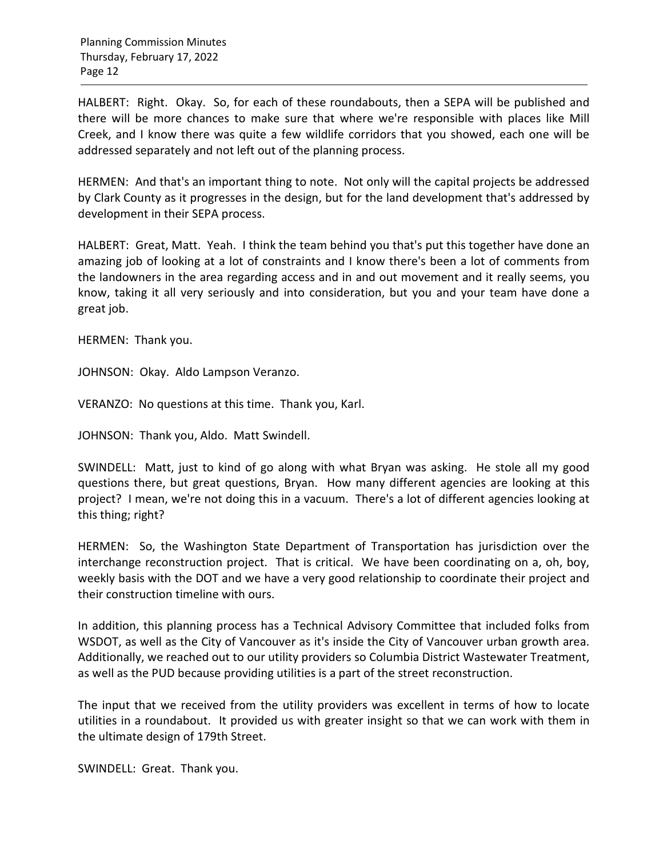HALBERT: Right. Okay. So, for each of these roundabouts, then a SEPA will be published and there will be more chances to make sure that where we're responsible with places like Mill Creek, and I know there was quite a few wildlife corridors that you showed, each one will be addressed separately and not left out of the planning process.

HERMEN: And that's an important thing to note. Not only will the capital projects be addressed by Clark County as it progresses in the design, but for the land development that's addressed by development in their SEPA process.

HALBERT: Great, Matt. Yeah. I think the team behind you that's put this together have done an amazing job of looking at a lot of constraints and I know there's been a lot of comments from the landowners in the area regarding access and in and out movement and it really seems, you know, taking it all very seriously and into consideration, but you and your team have done a great job.

HERMEN: Thank you.

JOHNSON: Okay. Aldo Lampson Veranzo.

VERANZO: No questions at this time. Thank you, Karl.

JOHNSON: Thank you, Aldo. Matt Swindell.

SWINDELL: Matt, just to kind of go along with what Bryan was asking. He stole all my good questions there, but great questions, Bryan. How many different agencies are looking at this project? I mean, we're not doing this in a vacuum. There's a lot of different agencies looking at this thing; right?

HERMEN: So, the Washington State Department of Transportation has jurisdiction over the interchange reconstruction project. That is critical. We have been coordinating on a, oh, boy, weekly basis with the DOT and we have a very good relationship to coordinate their project and their construction timeline with ours.

In addition, this planning process has a Technical Advisory Committee that included folks from WSDOT, as well as the City of Vancouver as it's inside the City of Vancouver urban growth area. Additionally, we reached out to our utility providers so Columbia District Wastewater Treatment, as well as the PUD because providing utilities is a part of the street reconstruction.

The input that we received from the utility providers was excellent in terms of how to locate utilities in a roundabout. It provided us with greater insight so that we can work with them in the ultimate design of 179th Street.

SWINDELL: Great. Thank you.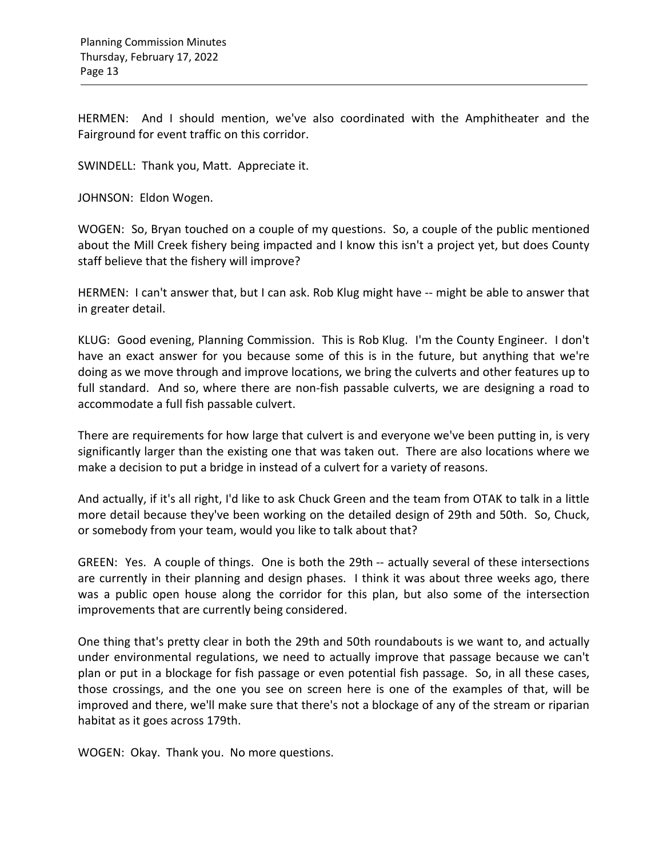HERMEN: And I should mention, we've also coordinated with the Amphitheater and the Fairground for event traffic on this corridor.

SWINDELL: Thank you, Matt. Appreciate it.

JOHNSON: Eldon Wogen.

WOGEN: So, Bryan touched on a couple of my questions. So, a couple of the public mentioned about the Mill Creek fishery being impacted and I know this isn't a project yet, but does County staff believe that the fishery will improve?

HERMEN: I can't answer that, but I can ask. Rob Klug might have -- might be able to answer that in greater detail.

KLUG: Good evening, Planning Commission. This is Rob Klug. I'm the County Engineer. I don't have an exact answer for you because some of this is in the future, but anything that we're doing as we move through and improve locations, we bring the culverts and other features up to full standard. And so, where there are non-fish passable culverts, we are designing a road to accommodate a full fish passable culvert.

There are requirements for how large that culvert is and everyone we've been putting in, is very significantly larger than the existing one that was taken out. There are also locations where we make a decision to put a bridge in instead of a culvert for a variety of reasons.

And actually, if it's all right, I'd like to ask Chuck Green and the team from OTAK to talk in a little more detail because they've been working on the detailed design of 29th and 50th. So, Chuck, or somebody from your team, would you like to talk about that?

GREEN: Yes. A couple of things. One is both the 29th -- actually several of these intersections are currently in their planning and design phases. I think it was about three weeks ago, there was a public open house along the corridor for this plan, but also some of the intersection improvements that are currently being considered.

One thing that's pretty clear in both the 29th and 50th roundabouts is we want to, and actually under environmental regulations, we need to actually improve that passage because we can't plan or put in a blockage for fish passage or even potential fish passage. So, in all these cases, those crossings, and the one you see on screen here is one of the examples of that, will be improved and there, we'll make sure that there's not a blockage of any of the stream or riparian habitat as it goes across 179th.

WOGEN: Okay. Thank you. No more questions.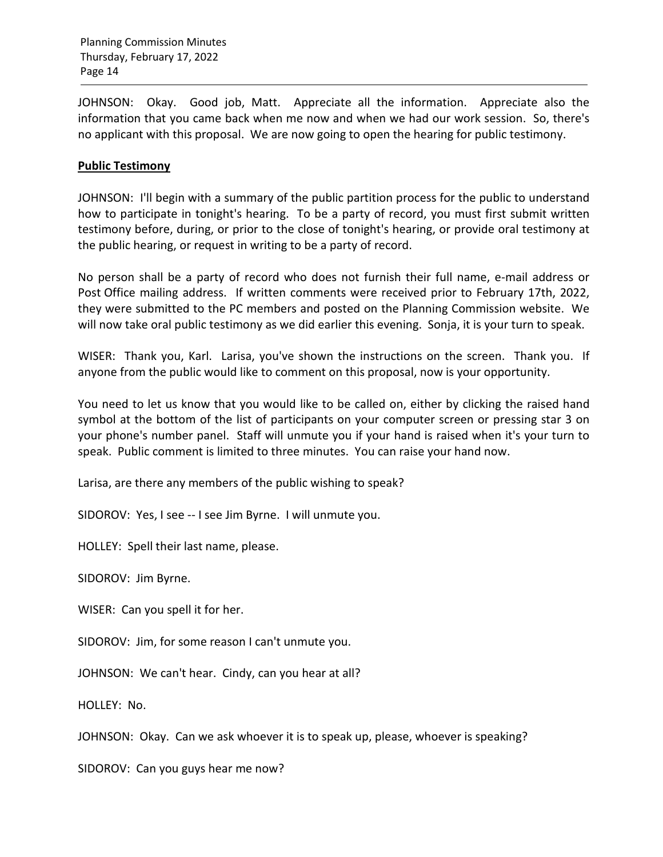JOHNSON: Okay. Good job, Matt. Appreciate all the information. Appreciate also the information that you came back when me now and when we had our work session. So, there's no applicant with this proposal. We are now going to open the hearing for public testimony.

### **Public Testimony**

JOHNSON: I'll begin with a summary of the public partition process for the public to understand how to participate in tonight's hearing. To be a party of record, you must first submit written testimony before, during, or prior to the close of tonight's hearing, or provide oral testimony at the public hearing, or request in writing to be a party of record.

No person shall be a party of record who does not furnish their full name, e-mail address or Post Office mailing address. If written comments were received prior to February 17th, 2022, they were submitted to the PC members and posted on the Planning Commission website. We will now take oral public testimony as we did earlier this evening. Sonja, it is your turn to speak.

WISER: Thank you, Karl. Larisa, you've shown the instructions on the screen. Thank you. If anyone from the public would like to comment on this proposal, now is your opportunity.

You need to let us know that you would like to be called on, either by clicking the raised hand symbol at the bottom of the list of participants on your computer screen or pressing star 3 on your phone's number panel. Staff will unmute you if your hand is raised when it's your turn to speak. Public comment is limited to three minutes. You can raise your hand now.

Larisa, are there any members of the public wishing to speak?

SIDOROV: Yes, I see -- I see Jim Byrne. I will unmute you.

HOLLEY: Spell their last name, please.

SIDOROV: Jim Byrne.

WISER: Can you spell it for her.

SIDOROV: Jim, for some reason I can't unmute you.

JOHNSON: We can't hear. Cindy, can you hear at all?

HOLLEY: No.

JOHNSON: Okay. Can we ask whoever it is to speak up, please, whoever is speaking?

SIDOROV: Can you guys hear me now?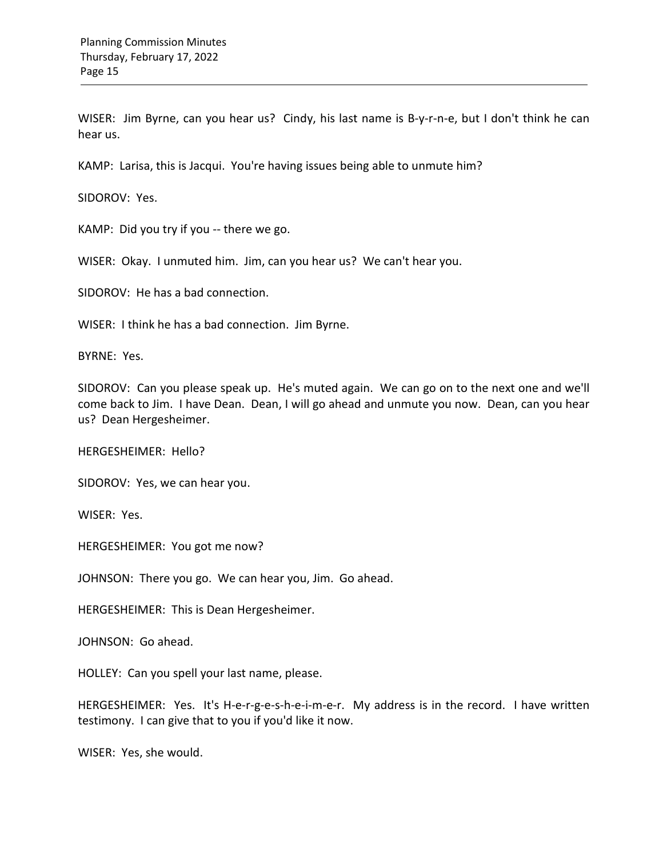WISER: Jim Byrne, can you hear us? Cindy, his last name is B-y-r-n-e, but I don't think he can hear us.

KAMP: Larisa, this is Jacqui. You're having issues being able to unmute him?

SIDOROV: Yes.

KAMP: Did you try if you -- there we go.

WISER: Okay. I unmuted him. Jim, can you hear us? We can't hear you.

SIDOROV: He has a bad connection.

WISER: I think he has a bad connection. Jim Byrne.

BYRNE: Yes.

SIDOROV: Can you please speak up. He's muted again. We can go on to the next one and we'll come back to Jim. I have Dean. Dean, I will go ahead and unmute you now. Dean, can you hear us? Dean Hergesheimer.

HERGESHEIMER: Hello?

SIDOROV: Yes, we can hear you.

WISER: Yes.

HERGESHEIMER: You got me now?

JOHNSON: There you go. We can hear you, Jim. Go ahead.

HERGESHEIMER: This is Dean Hergesheimer.

JOHNSON: Go ahead.

HOLLEY: Can you spell your last name, please.

HERGESHEIMER: Yes. It's H-e-r-g-e-s-h-e-i-m-e-r. My address is in the record. I have written testimony. I can give that to you if you'd like it now.

WISER: Yes, she would.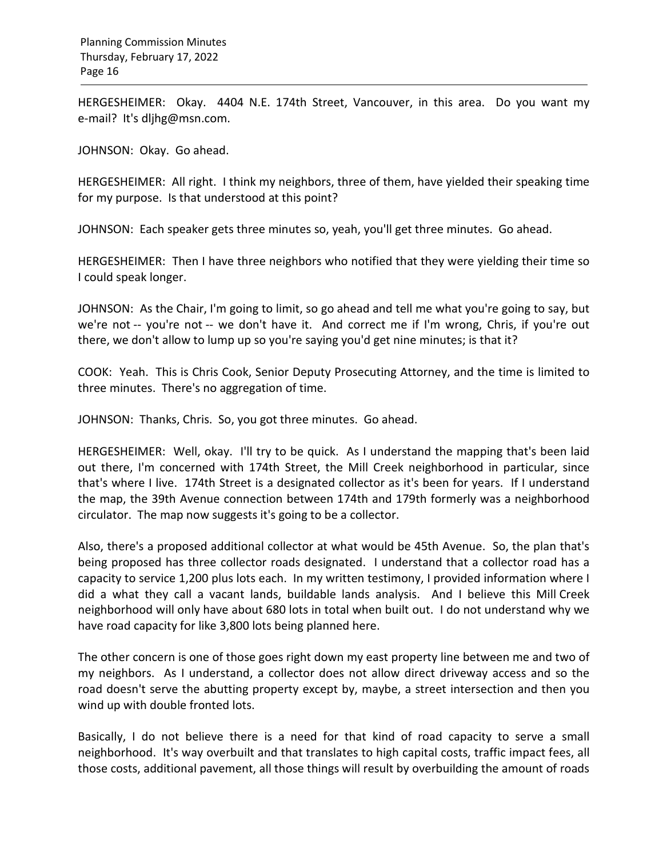HERGESHEIMER: Okay. 4404 N.E. 174th Street, Vancouver, in this area. Do you want my e-mail? It's dljhg@msn.com.

JOHNSON: Okay. Go ahead.

HERGESHEIMER: All right. I think my neighbors, three of them, have yielded their speaking time for my purpose. Is that understood at this point?

JOHNSON: Each speaker gets three minutes so, yeah, you'll get three minutes. Go ahead.

HERGESHEIMER: Then I have three neighbors who notified that they were yielding their time so I could speak longer.

JOHNSON: As the Chair, I'm going to limit, so go ahead and tell me what you're going to say, but we're not -- you're not -- we don't have it. And correct me if I'm wrong, Chris, if you're out there, we don't allow to lump up so you're saying you'd get nine minutes; is that it?

COOK: Yeah. This is Chris Cook, Senior Deputy Prosecuting Attorney, and the time is limited to three minutes. There's no aggregation of time.

JOHNSON: Thanks, Chris. So, you got three minutes. Go ahead.

HERGESHEIMER: Well, okay. I'll try to be quick. As I understand the mapping that's been laid out there, I'm concerned with 174th Street, the Mill Creek neighborhood in particular, since that's where I live. 174th Street is a designated collector as it's been for years. If I understand the map, the 39th Avenue connection between 174th and 179th formerly was a neighborhood circulator. The map now suggests it's going to be a collector.

Also, there's a proposed additional collector at what would be 45th Avenue. So, the plan that's being proposed has three collector roads designated. I understand that a collector road has a capacity to service 1,200 plus lots each. In my written testimony, I provided information where I did a what they call a vacant lands, buildable lands analysis. And I believe this Mill Creek neighborhood will only have about 680 lots in total when built out. I do not understand why we have road capacity for like 3,800 lots being planned here.

The other concern is one of those goes right down my east property line between me and two of my neighbors. As I understand, a collector does not allow direct driveway access and so the road doesn't serve the abutting property except by, maybe, a street intersection and then you wind up with double fronted lots.

Basically, I do not believe there is a need for that kind of road capacity to serve a small neighborhood. It's way overbuilt and that translates to high capital costs, traffic impact fees, all those costs, additional pavement, all those things will result by overbuilding the amount of roads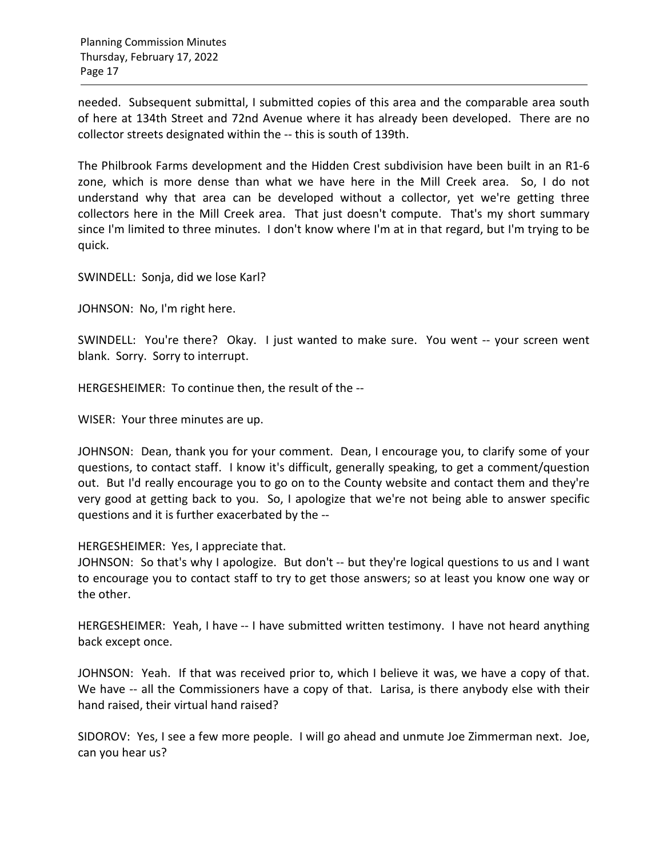needed. Subsequent submittal, I submitted copies of this area and the comparable area south of here at 134th Street and 72nd Avenue where it has already been developed. There are no collector streets designated within the -- this is south of 139th.

The Philbrook Farms development and the Hidden Crest subdivision have been built in an R1-6 zone, which is more dense than what we have here in the Mill Creek area. So, I do not understand why that area can be developed without a collector, yet we're getting three collectors here in the Mill Creek area. That just doesn't compute. That's my short summary since I'm limited to three minutes. I don't know where I'm at in that regard, but I'm trying to be quick.

SWINDELL: Sonja, did we lose Karl?

JOHNSON: No, I'm right here.

SWINDELL: You're there? Okay. I just wanted to make sure. You went -- your screen went blank. Sorry. Sorry to interrupt.

HERGESHEIMER: To continue then, the result of the --

WISER: Your three minutes are up.

JOHNSON: Dean, thank you for your comment. Dean, I encourage you, to clarify some of your questions, to contact staff. I know it's difficult, generally speaking, to get a comment/question out. But I'd really encourage you to go on to the County website and contact them and they're very good at getting back to you. So, I apologize that we're not being able to answer specific questions and it is further exacerbated by the --

HERGESHEIMER: Yes, I appreciate that.

JOHNSON: So that's why I apologize. But don't -- but they're logical questions to us and I want to encourage you to contact staff to try to get those answers; so at least you know one way or the other.

HERGESHEIMER: Yeah, I have -- I have submitted written testimony. I have not heard anything back except once.

JOHNSON: Yeah. If that was received prior to, which I believe it was, we have a copy of that. We have -- all the Commissioners have a copy of that. Larisa, is there anybody else with their hand raised, their virtual hand raised?

SIDOROV: Yes, I see a few more people. I will go ahead and unmute Joe Zimmerman next. Joe, can you hear us?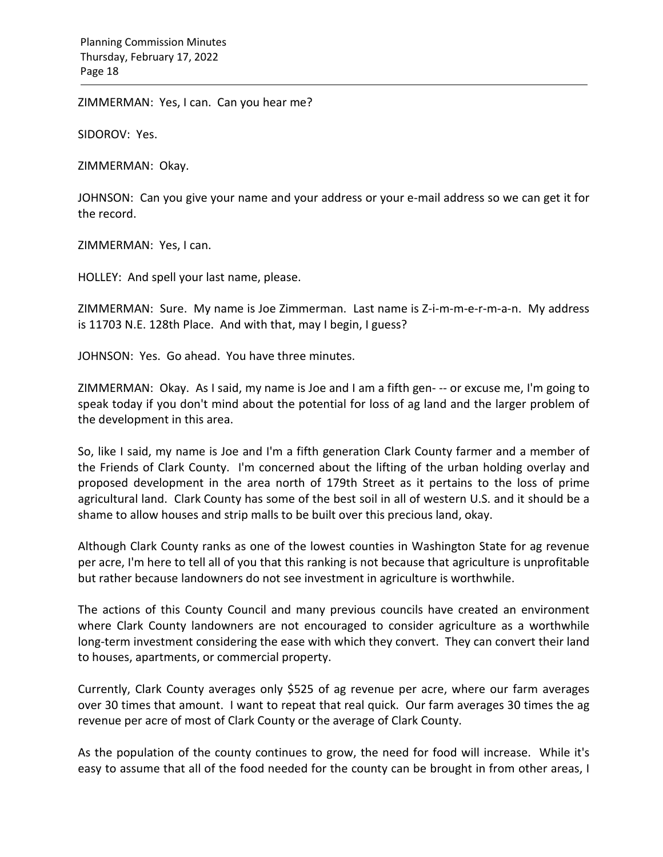ZIMMERMAN: Yes, I can. Can you hear me?

SIDOROV: Yes.

ZIMMERMAN: Okay.

JOHNSON: Can you give your name and your address or your e-mail address so we can get it for the record.

ZIMMERMAN: Yes, I can.

HOLLEY: And spell your last name, please.

ZIMMERMAN: Sure. My name is Joe Zimmerman. Last name is Z-i-m-m-e-r-m-a-n. My address is 11703 N.E. 128th Place. And with that, may I begin, I guess?

JOHNSON: Yes. Go ahead. You have three minutes.

ZIMMERMAN: Okay. As I said, my name is Joe and I am a fifth gen- -- or excuse me, I'm going to speak today if you don't mind about the potential for loss of ag land and the larger problem of the development in this area.

So, like I said, my name is Joe and I'm a fifth generation Clark County farmer and a member of the Friends of Clark County. I'm concerned about the lifting of the urban holding overlay and proposed development in the area north of 179th Street as it pertains to the loss of prime agricultural land. Clark County has some of the best soil in all of western U.S. and it should be a shame to allow houses and strip malls to be built over this precious land, okay.

Although Clark County ranks as one of the lowest counties in Washington State for ag revenue per acre, I'm here to tell all of you that this ranking is not because that agriculture is unprofitable but rather because landowners do not see investment in agriculture is worthwhile.

The actions of this County Council and many previous councils have created an environment where Clark County landowners are not encouraged to consider agriculture as a worthwhile long-term investment considering the ease with which they convert. They can convert their land to houses, apartments, or commercial property.

Currently, Clark County averages only \$525 of ag revenue per acre, where our farm averages over 30 times that amount. I want to repeat that real quick. Our farm averages 30 times the ag revenue per acre of most of Clark County or the average of Clark County.

As the population of the county continues to grow, the need for food will increase. While it's easy to assume that all of the food needed for the county can be brought in from other areas, I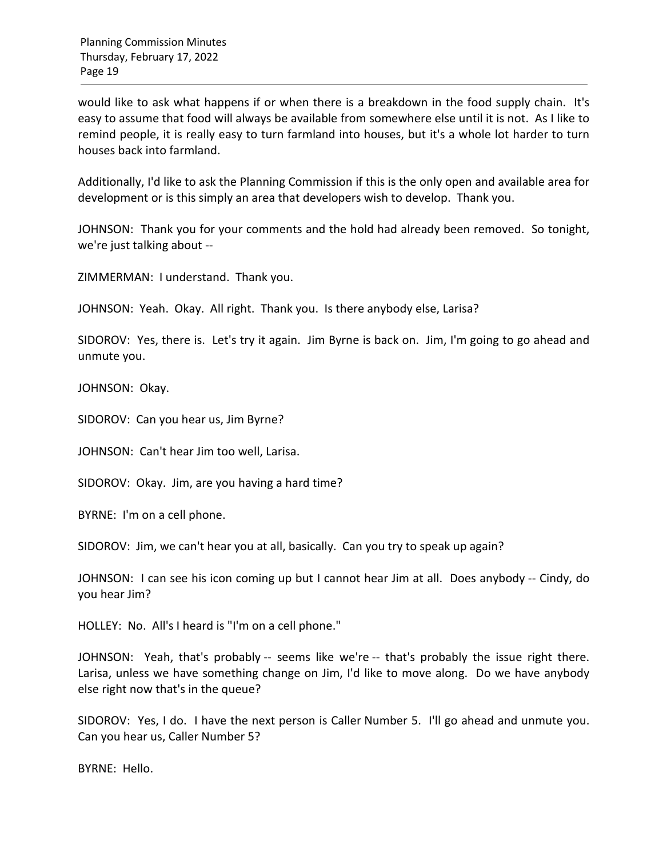would like to ask what happens if or when there is a breakdown in the food supply chain. It's easy to assume that food will always be available from somewhere else until it is not. As I like to remind people, it is really easy to turn farmland into houses, but it's a whole lot harder to turn houses back into farmland.

Additionally, I'd like to ask the Planning Commission if this is the only open and available area for development or is this simply an area that developers wish to develop. Thank you.

JOHNSON: Thank you for your comments and the hold had already been removed. So tonight, we're just talking about --

ZIMMERMAN: I understand. Thank you.

JOHNSON: Yeah. Okay. All right. Thank you. Is there anybody else, Larisa?

SIDOROV: Yes, there is. Let's try it again. Jim Byrne is back on. Jim, I'm going to go ahead and unmute you.

JOHNSON: Okay.

SIDOROV: Can you hear us, Jim Byrne?

JOHNSON: Can't hear Jim too well, Larisa.

SIDOROV: Okay. Jim, are you having a hard time?

BYRNE: I'm on a cell phone.

SIDOROV: Jim, we can't hear you at all, basically. Can you try to speak up again?

JOHNSON: I can see his icon coming up but I cannot hear Jim at all. Does anybody -- Cindy, do you hear Jim?

HOLLEY: No. All's I heard is "I'm on a cell phone."

JOHNSON: Yeah, that's probably -- seems like we're -- that's probably the issue right there. Larisa, unless we have something change on Jim, I'd like to move along. Do we have anybody else right now that's in the queue?

SIDOROV: Yes, I do. I have the next person is Caller Number 5. I'll go ahead and unmute you. Can you hear us, Caller Number 5?

BYRNE: Hello.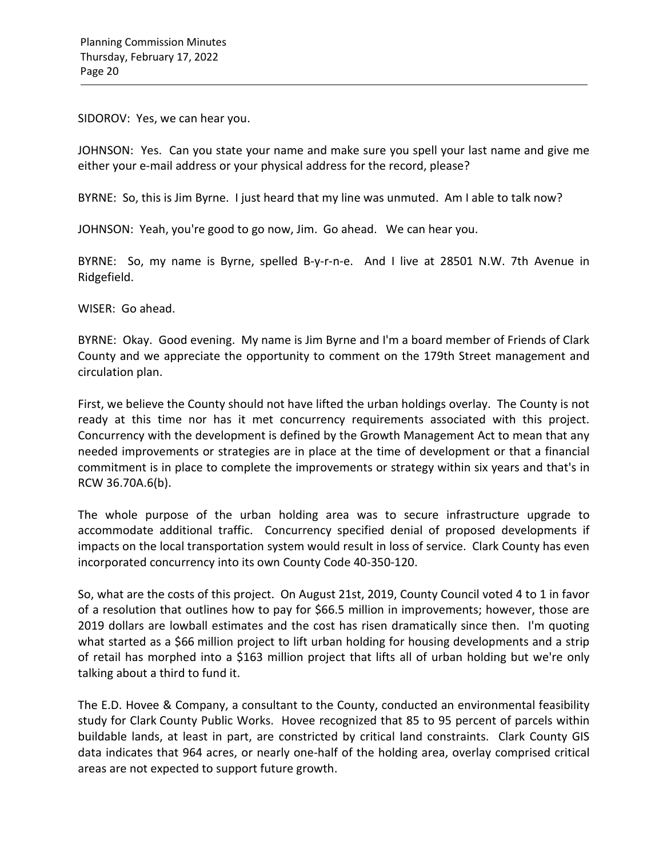SIDOROV: Yes, we can hear you.

JOHNSON: Yes. Can you state your name and make sure you spell your last name and give me either your e-mail address or your physical address for the record, please?

BYRNE: So, this is Jim Byrne. I just heard that my line was unmuted. Am I able to talk now?

JOHNSON: Yeah, you're good to go now, Jim. Go ahead. We can hear you.

BYRNE: So, my name is Byrne, spelled B-y-r-n-e. And I live at 28501 N.W. 7th Avenue in Ridgefield.

WISER: Go ahead.

BYRNE: Okay. Good evening. My name is Jim Byrne and I'm a board member of Friends of Clark County and we appreciate the opportunity to comment on the 179th Street management and circulation plan.

First, we believe the County should not have lifted the urban holdings overlay. The County is not ready at this time nor has it met concurrency requirements associated with this project. Concurrency with the development is defined by the Growth Management Act to mean that any needed improvements or strategies are in place at the time of development or that a financial commitment is in place to complete the improvements or strategy within six years and that's in RCW 36.70A.6(b).

The whole purpose of the urban holding area was to secure infrastructure upgrade to accommodate additional traffic. Concurrency specified denial of proposed developments if impacts on the local transportation system would result in loss of service. Clark County has even incorporated concurrency into its own County Code 40-350-120.

So, what are the costs of this project. On August 21st, 2019, County Council voted 4 to 1 in favor of a resolution that outlines how to pay for \$66.5 million in improvements; however, those are 2019 dollars are lowball estimates and the cost has risen dramatically since then. I'm quoting what started as a \$66 million project to lift urban holding for housing developments and a strip of retail has morphed into a \$163 million project that lifts all of urban holding but we're only talking about a third to fund it.

The E.D. Hovee & Company, a consultant to the County, conducted an environmental feasibility study for Clark County Public Works. Hovee recognized that 85 to 95 percent of parcels within buildable lands, at least in part, are constricted by critical land constraints. Clark County GIS data indicates that 964 acres, or nearly one-half of the holding area, overlay comprised critical areas are not expected to support future growth.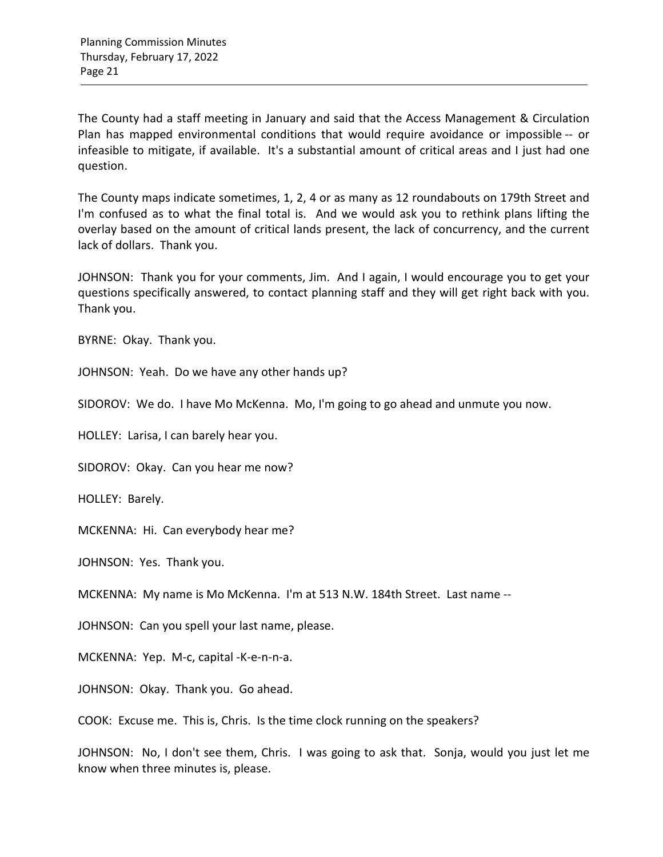The County had a staff meeting in January and said that the Access Management & Circulation Plan has mapped environmental conditions that would require avoidance or impossible -- or infeasible to mitigate, if available. It's a substantial amount of critical areas and I just had one question.

The County maps indicate sometimes, 1, 2, 4 or as many as 12 roundabouts on 179th Street and I'm confused as to what the final total is. And we would ask you to rethink plans lifting the overlay based on the amount of critical lands present, the lack of concurrency, and the current lack of dollars. Thank you.

JOHNSON: Thank you for your comments, Jim. And I again, I would encourage you to get your questions specifically answered, to contact planning staff and they will get right back with you. Thank you.

BYRNE: Okay. Thank you.

JOHNSON: Yeah. Do we have any other hands up?

SIDOROV: We do. I have Mo McKenna. Mo, I'm going to go ahead and unmute you now.

HOLLEY: Larisa, I can barely hear you.

SIDOROV: Okay. Can you hear me now?

HOLLEY: Barely.

MCKENNA: Hi. Can everybody hear me?

JOHNSON: Yes. Thank you.

MCKENNA: My name is Mo McKenna. I'm at 513 N.W. 184th Street. Last name --

JOHNSON: Can you spell your last name, please.

MCKENNA: Yep. M-c, capital -K-e-n-n-a.

JOHNSON: Okay. Thank you. Go ahead.

COOK: Excuse me. This is, Chris. Is the time clock running on the speakers?

JOHNSON: No, I don't see them, Chris. I was going to ask that. Sonja, would you just let me know when three minutes is, please.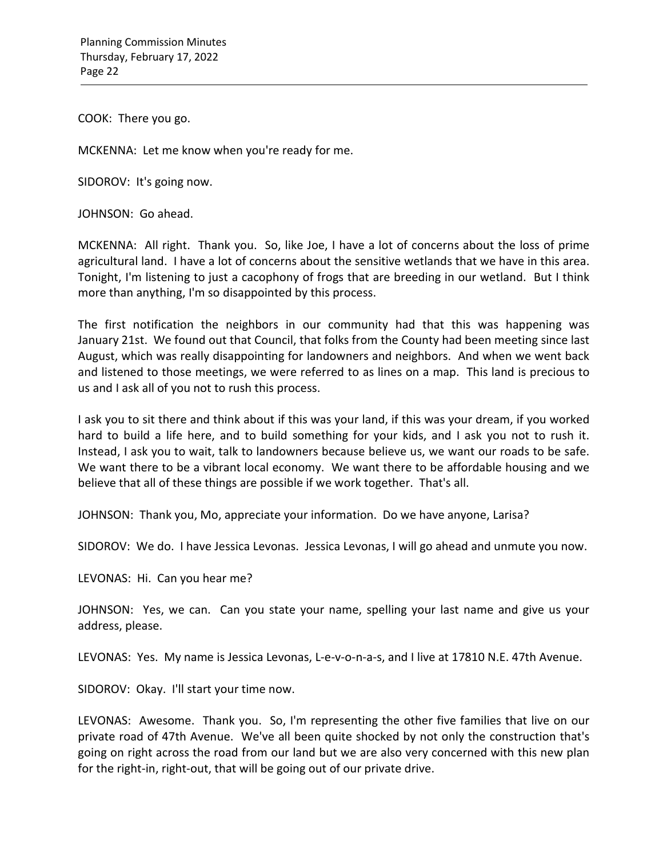COOK: There you go.

MCKENNA: Let me know when you're ready for me.

SIDOROV: It's going now.

JOHNSON: Go ahead.

MCKENNA: All right. Thank you. So, like Joe, I have a lot of concerns about the loss of prime agricultural land. I have a lot of concerns about the sensitive wetlands that we have in this area. Tonight, I'm listening to just a cacophony of frogs that are breeding in our wetland. But I think more than anything, I'm so disappointed by this process.

The first notification the neighbors in our community had that this was happening was January 21st. We found out that Council, that folks from the County had been meeting since last August, which was really disappointing for landowners and neighbors. And when we went back and listened to those meetings, we were referred to as lines on a map. This land is precious to us and I ask all of you not to rush this process.

I ask you to sit there and think about if this was your land, if this was your dream, if you worked hard to build a life here, and to build something for your kids, and I ask you not to rush it. Instead, I ask you to wait, talk to landowners because believe us, we want our roads to be safe. We want there to be a vibrant local economy. We want there to be affordable housing and we believe that all of these things are possible if we work together. That's all.

JOHNSON: Thank you, Mo, appreciate your information. Do we have anyone, Larisa?

SIDOROV: We do. I have Jessica Levonas. Jessica Levonas, I will go ahead and unmute you now.

LEVONAS: Hi. Can you hear me?

JOHNSON: Yes, we can. Can you state your name, spelling your last name and give us your address, please.

LEVONAS: Yes. My name is Jessica Levonas, L-e-v-o-n-a-s, and I live at 17810 N.E. 47th Avenue.

SIDOROV: Okay. I'll start your time now.

LEVONAS: Awesome. Thank you. So, I'm representing the other five families that live on our private road of 47th Avenue. We've all been quite shocked by not only the construction that's going on right across the road from our land but we are also very concerned with this new plan for the right-in, right-out, that will be going out of our private drive.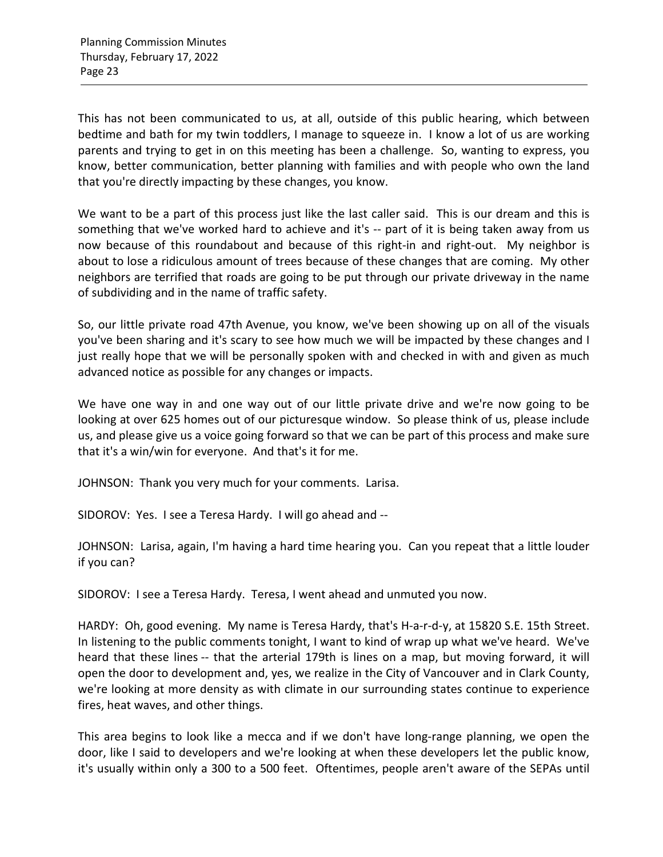This has not been communicated to us, at all, outside of this public hearing, which between bedtime and bath for my twin toddlers, I manage to squeeze in. I know a lot of us are working parents and trying to get in on this meeting has been a challenge. So, wanting to express, you know, better communication, better planning with families and with people who own the land that you're directly impacting by these changes, you know.

We want to be a part of this process just like the last caller said. This is our dream and this is something that we've worked hard to achieve and it's -- part of it is being taken away from us now because of this roundabout and because of this right-in and right-out. My neighbor is about to lose a ridiculous amount of trees because of these changes that are coming. My other neighbors are terrified that roads are going to be put through our private driveway in the name of subdividing and in the name of traffic safety.

So, our little private road 47th Avenue, you know, we've been showing up on all of the visuals you've been sharing and it's scary to see how much we will be impacted by these changes and I just really hope that we will be personally spoken with and checked in with and given as much advanced notice as possible for any changes or impacts.

We have one way in and one way out of our little private drive and we're now going to be looking at over 625 homes out of our picturesque window. So please think of us, please include us, and please give us a voice going forward so that we can be part of this process and make sure that it's a win/win for everyone. And that's it for me.

JOHNSON: Thank you very much for your comments. Larisa.

SIDOROV: Yes. I see a Teresa Hardy. I will go ahead and --

JOHNSON: Larisa, again, I'm having a hard time hearing you. Can you repeat that a little louder if you can?

SIDOROV: I see a Teresa Hardy. Teresa, I went ahead and unmuted you now.

HARDY: Oh, good evening. My name is Teresa Hardy, that's H-a-r-d-y, at 15820 S.E. 15th Street. In listening to the public comments tonight, I want to kind of wrap up what we've heard. We've heard that these lines -- that the arterial 179th is lines on a map, but moving forward, it will open the door to development and, yes, we realize in the City of Vancouver and in Clark County, we're looking at more density as with climate in our surrounding states continue to experience fires, heat waves, and other things.

This area begins to look like a mecca and if we don't have long-range planning, we open the door, like I said to developers and we're looking at when these developers let the public know, it's usually within only a 300 to a 500 feet. Oftentimes, people aren't aware of the SEPAs until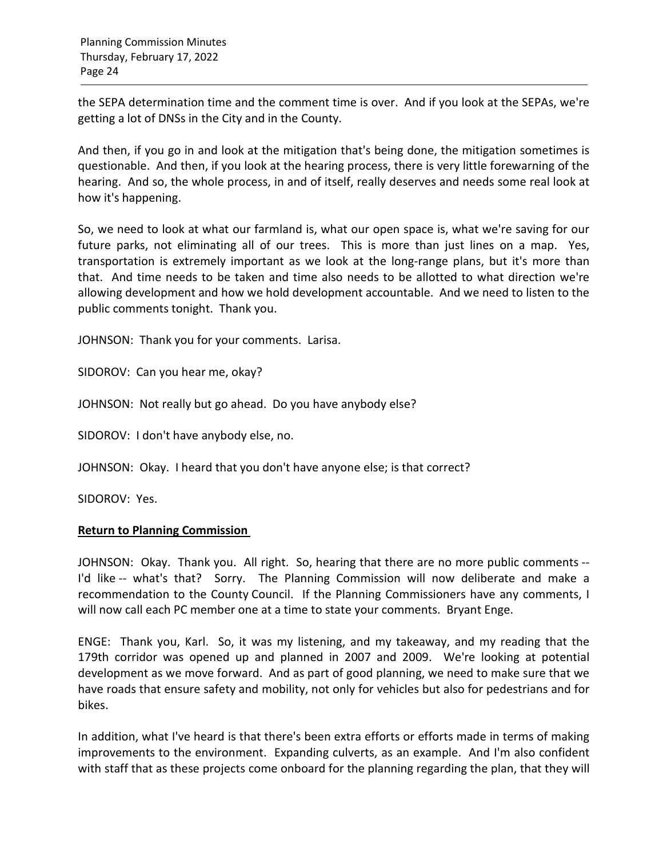the SEPA determination time and the comment time is over. And if you look at the SEPAs, we're getting a lot of DNSs in the City and in the County.

And then, if you go in and look at the mitigation that's being done, the mitigation sometimes is questionable. And then, if you look at the hearing process, there is very little forewarning of the hearing. And so, the whole process, in and of itself, really deserves and needs some real look at how it's happening.

So, we need to look at what our farmland is, what our open space is, what we're saving for our future parks, not eliminating all of our trees. This is more than just lines on a map. Yes, transportation is extremely important as we look at the long-range plans, but it's more than that. And time needs to be taken and time also needs to be allotted to what direction we're allowing development and how we hold development accountable. And we need to listen to the public comments tonight. Thank you.

JOHNSON: Thank you for your comments. Larisa.

SIDOROV: Can you hear me, okay?

JOHNSON: Not really but go ahead. Do you have anybody else?

SIDOROV: I don't have anybody else, no.

JOHNSON: Okay. I heard that you don't have anyone else; is that correct?

SIDOROV: Yes.

### **Return to Planning Commission**

JOHNSON: Okay. Thank you. All right. So, hearing that there are no more public comments -- I'd like -- what's that? Sorry. The Planning Commission will now deliberate and make a recommendation to the County Council. If the Planning Commissioners have any comments, I will now call each PC member one at a time to state your comments. Bryant Enge.

ENGE: Thank you, Karl. So, it was my listening, and my takeaway, and my reading that the 179th corridor was opened up and planned in 2007 and 2009. We're looking at potential development as we move forward. And as part of good planning, we need to make sure that we have roads that ensure safety and mobility, not only for vehicles but also for pedestrians and for bikes.

In addition, what I've heard is that there's been extra efforts or efforts made in terms of making improvements to the environment. Expanding culverts, as an example. And I'm also confident with staff that as these projects come onboard for the planning regarding the plan, that they will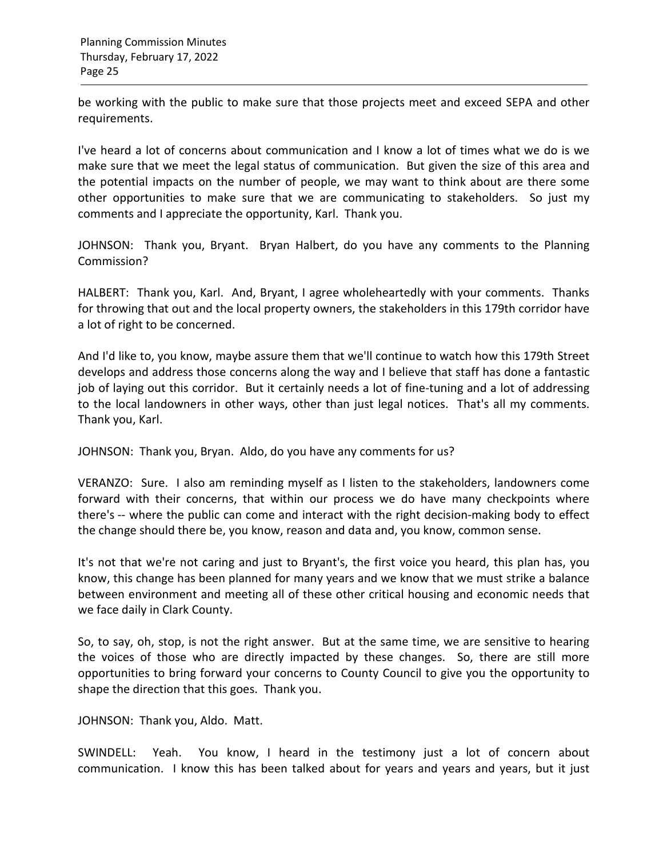be working with the public to make sure that those projects meet and exceed SEPA and other requirements.

I've heard a lot of concerns about communication and I know a lot of times what we do is we make sure that we meet the legal status of communication. But given the size of this area and the potential impacts on the number of people, we may want to think about are there some other opportunities to make sure that we are communicating to stakeholders. So just my comments and I appreciate the opportunity, Karl. Thank you.

JOHNSON: Thank you, Bryant. Bryan Halbert, do you have any comments to the Planning Commission?

HALBERT: Thank you, Karl. And, Bryant, I agree wholeheartedly with your comments. Thanks for throwing that out and the local property owners, the stakeholders in this 179th corridor have a lot of right to be concerned.

And I'd like to, you know, maybe assure them that we'll continue to watch how this 179th Street develops and address those concerns along the way and I believe that staff has done a fantastic job of laying out this corridor. But it certainly needs a lot of fine-tuning and a lot of addressing to the local landowners in other ways, other than just legal notices. That's all my comments. Thank you, Karl.

JOHNSON: Thank you, Bryan. Aldo, do you have any comments for us?

VERANZO: Sure. I also am reminding myself as I listen to the stakeholders, landowners come forward with their concerns, that within our process we do have many checkpoints where there's -- where the public can come and interact with the right decision-making body to effect the change should there be, you know, reason and data and, you know, common sense.

It's not that we're not caring and just to Bryant's, the first voice you heard, this plan has, you know, this change has been planned for many years and we know that we must strike a balance between environment and meeting all of these other critical housing and economic needs that we face daily in Clark County.

So, to say, oh, stop, is not the right answer. But at the same time, we are sensitive to hearing the voices of those who are directly impacted by these changes. So, there are still more opportunities to bring forward your concerns to County Council to give you the opportunity to shape the direction that this goes. Thank you.

JOHNSON: Thank you, Aldo. Matt.

SWINDELL: Yeah. You know, I heard in the testimony just a lot of concern about communication. I know this has been talked about for years and years and years, but it just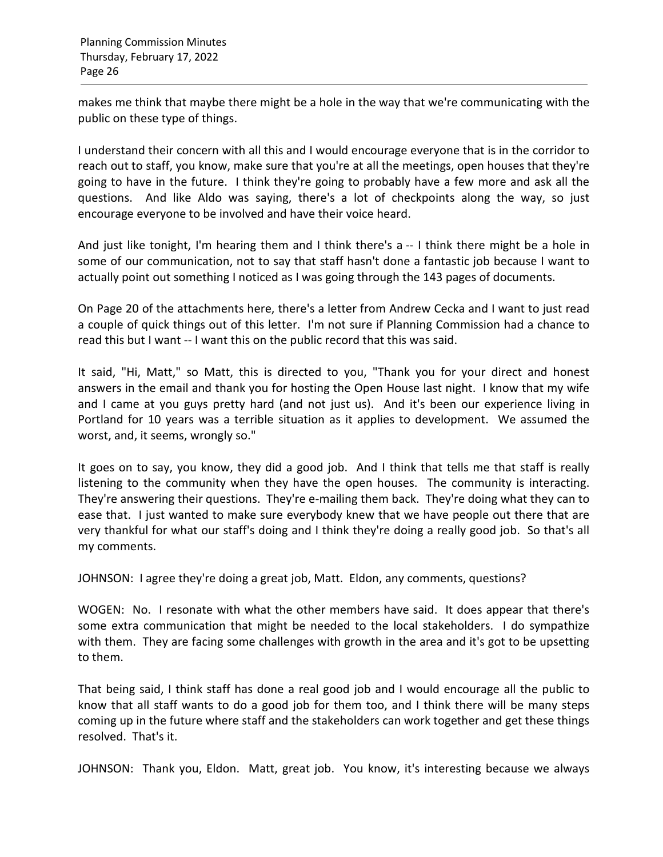makes me think that maybe there might be a hole in the way that we're communicating with the public on these type of things.

I understand their concern with all this and I would encourage everyone that is in the corridor to reach out to staff, you know, make sure that you're at all the meetings, open houses that they're going to have in the future. I think they're going to probably have a few more and ask all the questions. And like Aldo was saying, there's a lot of checkpoints along the way, so just encourage everyone to be involved and have their voice heard.

And just like tonight, I'm hearing them and I think there's a -- I think there might be a hole in some of our communication, not to say that staff hasn't done a fantastic job because I want to actually point out something I noticed as I was going through the 143 pages of documents.

On Page 20 of the attachments here, there's a letter from Andrew Cecka and I want to just read a couple of quick things out of this letter. I'm not sure if Planning Commission had a chance to read this but I want -- I want this on the public record that this was said.

It said, "Hi, Matt," so Matt, this is directed to you, "Thank you for your direct and honest answers in the email and thank you for hosting the Open House last night. I know that my wife and I came at you guys pretty hard (and not just us). And it's been our experience living in Portland for 10 years was a terrible situation as it applies to development. We assumed the worst, and, it seems, wrongly so."

It goes on to say, you know, they did a good job. And I think that tells me that staff is really listening to the community when they have the open houses. The community is interacting. They're answering their questions. They're e-mailing them back. They're doing what they can to ease that. I just wanted to make sure everybody knew that we have people out there that are very thankful for what our staff's doing and I think they're doing a really good job. So that's all my comments.

JOHNSON: I agree they're doing a great job, Matt. Eldon, any comments, questions?

WOGEN: No. I resonate with what the other members have said. It does appear that there's some extra communication that might be needed to the local stakeholders. I do sympathize with them. They are facing some challenges with growth in the area and it's got to be upsetting to them.

That being said, I think staff has done a real good job and I would encourage all the public to know that all staff wants to do a good job for them too, and I think there will be many steps coming up in the future where staff and the stakeholders can work together and get these things resolved. That's it.

JOHNSON: Thank you, Eldon. Matt, great job. You know, it's interesting because we always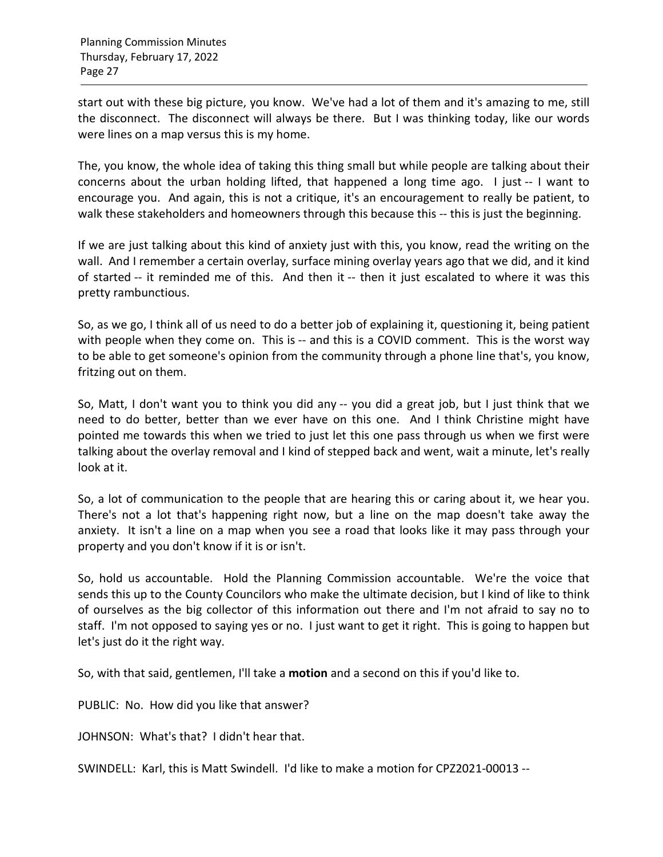start out with these big picture, you know. We've had a lot of them and it's amazing to me, still the disconnect. The disconnect will always be there. But I was thinking today, like our words were lines on a map versus this is my home.

The, you know, the whole idea of taking this thing small but while people are talking about their concerns about the urban holding lifted, that happened a long time ago. I just -- I want to encourage you. And again, this is not a critique, it's an encouragement to really be patient, to walk these stakeholders and homeowners through this because this -- this is just the beginning.

If we are just talking about this kind of anxiety just with this, you know, read the writing on the wall. And I remember a certain overlay, surface mining overlay years ago that we did, and it kind of started -- it reminded me of this. And then it -- then it just escalated to where it was this pretty rambunctious.

So, as we go, I think all of us need to do a better job of explaining it, questioning it, being patient with people when they come on. This is -- and this is a COVID comment. This is the worst way to be able to get someone's opinion from the community through a phone line that's, you know, fritzing out on them.

So, Matt, I don't want you to think you did any -- you did a great job, but I just think that we need to do better, better than we ever have on this one. And I think Christine might have pointed me towards this when we tried to just let this one pass through us when we first were talking about the overlay removal and I kind of stepped back and went, wait a minute, let's really look at it.

So, a lot of communication to the people that are hearing this or caring about it, we hear you. There's not a lot that's happening right now, but a line on the map doesn't take away the anxiety. It isn't a line on a map when you see a road that looks like it may pass through your property and you don't know if it is or isn't.

So, hold us accountable. Hold the Planning Commission accountable. We're the voice that sends this up to the County Councilors who make the ultimate decision, but I kind of like to think of ourselves as the big collector of this information out there and I'm not afraid to say no to staff. I'm not opposed to saying yes or no. I just want to get it right. This is going to happen but let's just do it the right way.

So, with that said, gentlemen, I'll take a **motion** and a second on this if you'd like to.

PUBLIC: No. How did you like that answer?

JOHNSON: What's that? I didn't hear that.

SWINDELL: Karl, this is Matt Swindell. I'd like to make a motion for CPZ2021-00013 --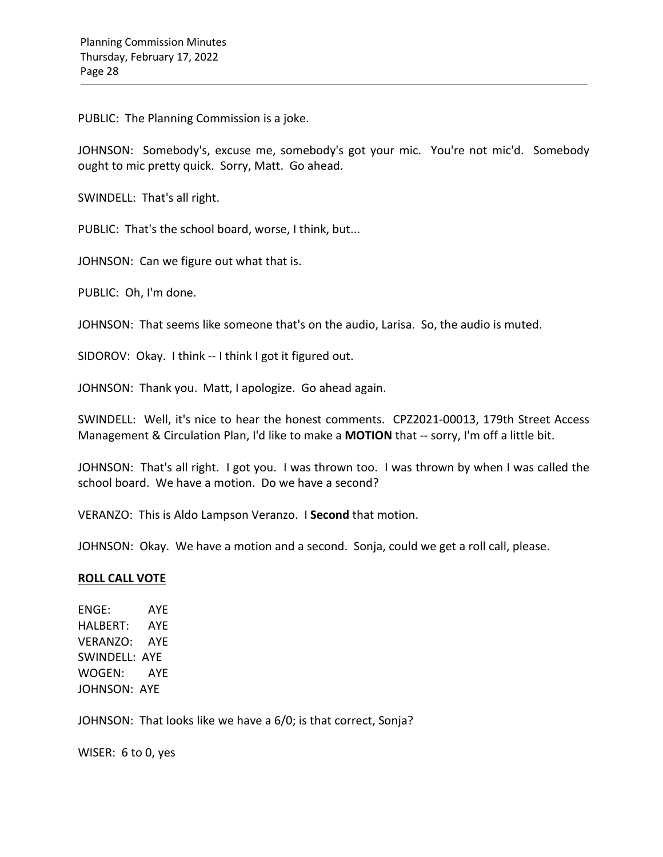PUBLIC: The Planning Commission is a joke.

JOHNSON: Somebody's, excuse me, somebody's got your mic. You're not mic'd. Somebody ought to mic pretty quick. Sorry, Matt. Go ahead.

SWINDELL: That's all right.

PUBLIC: That's the school board, worse, I think, but...

JOHNSON: Can we figure out what that is.

PUBLIC: Oh, I'm done.

JOHNSON: That seems like someone that's on the audio, Larisa. So, the audio is muted.

SIDOROV: Okay. I think -- I think I got it figured out.

JOHNSON: Thank you. Matt, I apologize. Go ahead again.

SWINDELL: Well, it's nice to hear the honest comments. CPZ2021-00013, 179th Street Access Management & Circulation Plan, I'd like to make a **MOTION** that -- sorry, I'm off a little bit.

JOHNSON: That's all right. I got you. I was thrown too. I was thrown by when I was called the school board. We have a motion. Do we have a second?

VERANZO: This is Aldo Lampson Veranzo. I **Second** that motion.

JOHNSON: Okay. We have a motion and a second. Sonja, could we get a roll call, please.

### **ROLL CALL VOTE**

ENGE: AYE HALBERT: AYE VERANZO: AYE SWINDELL: AYE WOGEN: AYE JOHNSON: AYE

JOHNSON: That looks like we have a 6/0; is that correct, Sonja?

WISER: 6 to 0, yes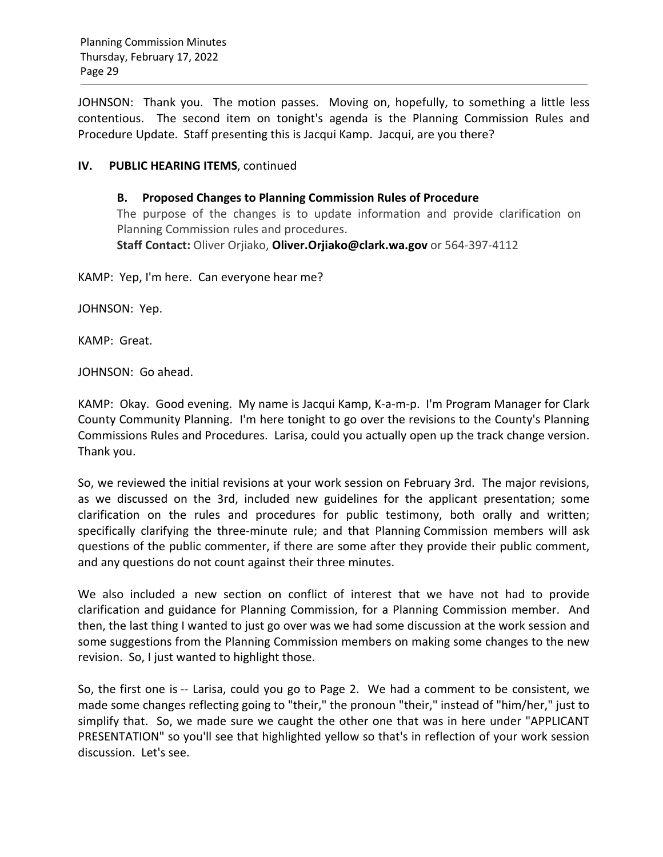JOHNSON: Thank you. The motion passes. Moving on, hopefully, to something a little less contentious. The second item on tonight's agenda is the Planning Commission Rules and Procedure Update. Staff presenting this is Jacqui Kamp. Jacqui, are you there?

## **IV. PUBLIC HEARING ITEMS**, continued

**B. Proposed Changes to Planning Commission Rules of Procedure** The purpose of the changes is to update information and provide clarification on Planning Commission rules and procedures. **Staff Contact:** Oliver Orjiako, **[Oliver.Orjiako@clark.wa.gov](mailto:Oliver.Orjiako@clark.wa.gov)** or 564-397-4112

KAMP: Yep, I'm here. Can everyone hear me?

JOHNSON: Yep.

KAMP: Great.

JOHNSON: Go ahead.

KAMP: Okay. Good evening. My name is Jacqui Kamp, K-a-m-p. I'm Program Manager for Clark County Community Planning. I'm here tonight to go over the revisions to the County's Planning Commissions Rules and Procedures. Larisa, could you actually open up the track change version. Thank you.

So, we reviewed the initial revisions at your work session on February 3rd. The major revisions, as we discussed on the 3rd, included new guidelines for the applicant presentation; some clarification on the rules and procedures for public testimony, both orally and written; specifically clarifying the three-minute rule; and that Planning Commission members will ask questions of the public commenter, if there are some after they provide their public comment, and any questions do not count against their three minutes.

We also included a new section on conflict of interest that we have not had to provide clarification and guidance for Planning Commission, for a Planning Commission member. And then, the last thing I wanted to just go over was we had some discussion at the work session and some suggestions from the Planning Commission members on making some changes to the new revision. So, I just wanted to highlight those.

So, the first one is -- Larisa, could you go to Page 2. We had a comment to be consistent, we made some changes reflecting going to "their," the pronoun "their," instead of "him/her," just to simplify that. So, we made sure we caught the other one that was in here under "APPLICANT PRESENTATION" so you'll see that highlighted yellow so that's in reflection of your work session discussion. Let's see.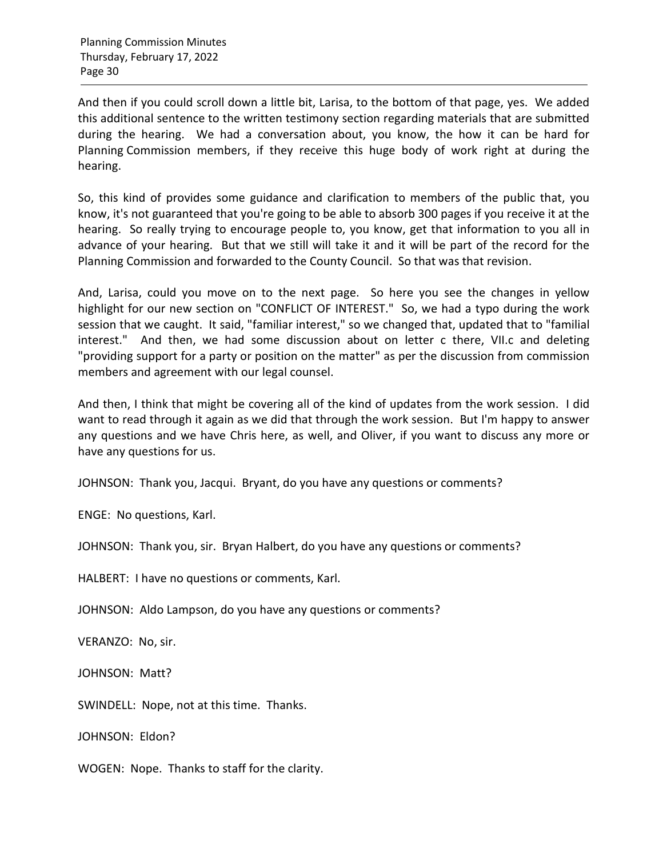And then if you could scroll down a little bit, Larisa, to the bottom of that page, yes. We added this additional sentence to the written testimony section regarding materials that are submitted during the hearing. We had a conversation about, you know, the how it can be hard for Planning Commission members, if they receive this huge body of work right at during the hearing.

So, this kind of provides some guidance and clarification to members of the public that, you know, it's not guaranteed that you're going to be able to absorb 300 pages if you receive it at the hearing. So really trying to encourage people to, you know, get that information to you all in advance of your hearing. But that we still will take it and it will be part of the record for the Planning Commission and forwarded to the County Council. So that was that revision.

And, Larisa, could you move on to the next page. So here you see the changes in yellow highlight for our new section on "CONFLICT OF INTEREST." So, we had a typo during the work session that we caught. It said, "familiar interest," so we changed that, updated that to "familial interest." And then, we had some discussion about on letter c there, VII.c and deleting "providing support for a party or position on the matter" as per the discussion from commission members and agreement with our legal counsel.

And then, I think that might be covering all of the kind of updates from the work session. I did want to read through it again as we did that through the work session. But I'm happy to answer any questions and we have Chris here, as well, and Oliver, if you want to discuss any more or have any questions for us.

JOHNSON: Thank you, Jacqui. Bryant, do you have any questions or comments?

ENGE: No questions, Karl.

JOHNSON: Thank you, sir. Bryan Halbert, do you have any questions or comments?

HALBERT: I have no questions or comments, Karl.

JOHNSON: Aldo Lampson, do you have any questions or comments?

VERANZO: No, sir.

JOHNSON: Matt?

SWINDELL: Nope, not at this time. Thanks.

JOHNSON: Eldon?

WOGEN: Nope. Thanks to staff for the clarity.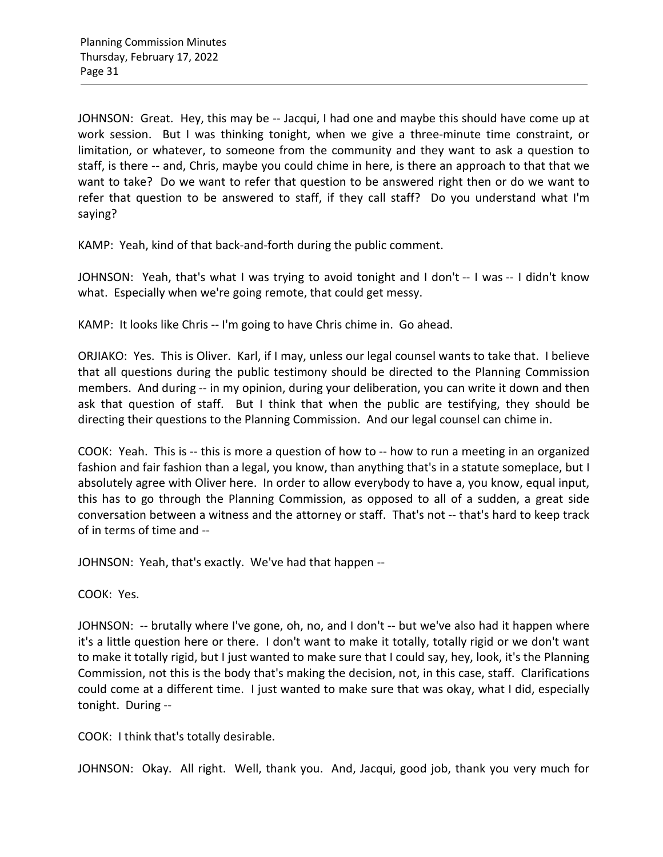JOHNSON: Great. Hey, this may be -- Jacqui, I had one and maybe this should have come up at work session. But I was thinking tonight, when we give a three-minute time constraint, or limitation, or whatever, to someone from the community and they want to ask a question to staff, is there -- and, Chris, maybe you could chime in here, is there an approach to that that we want to take? Do we want to refer that question to be answered right then or do we want to refer that question to be answered to staff, if they call staff? Do you understand what I'm saying?

KAMP: Yeah, kind of that back-and-forth during the public comment.

JOHNSON: Yeah, that's what I was trying to avoid tonight and I don't -- I was -- I didn't know what. Especially when we're going remote, that could get messy.

KAMP: It looks like Chris -- I'm going to have Chris chime in. Go ahead.

ORJIAKO: Yes. This is Oliver. Karl, if I may, unless our legal counsel wants to take that. I believe that all questions during the public testimony should be directed to the Planning Commission members. And during -- in my opinion, during your deliberation, you can write it down and then ask that question of staff. But I think that when the public are testifying, they should be directing their questions to the Planning Commission. And our legal counsel can chime in.

COOK: Yeah. This is -- this is more a question of how to -- how to run a meeting in an organized fashion and fair fashion than a legal, you know, than anything that's in a statute someplace, but I absolutely agree with Oliver here. In order to allow everybody to have a, you know, equal input, this has to go through the Planning Commission, as opposed to all of a sudden, a great side conversation between a witness and the attorney or staff. That's not -- that's hard to keep track of in terms of time and --

JOHNSON: Yeah, that's exactly. We've had that happen --

COOK: Yes.

JOHNSON: -- brutally where I've gone, oh, no, and I don't -- but we've also had it happen where it's a little question here or there. I don't want to make it totally, totally rigid or we don't want to make it totally rigid, but I just wanted to make sure that I could say, hey, look, it's the Planning Commission, not this is the body that's making the decision, not, in this case, staff. Clarifications could come at a different time. I just wanted to make sure that was okay, what I did, especially tonight. During --

COOK: I think that's totally desirable.

JOHNSON: Okay. All right. Well, thank you. And, Jacqui, good job, thank you very much for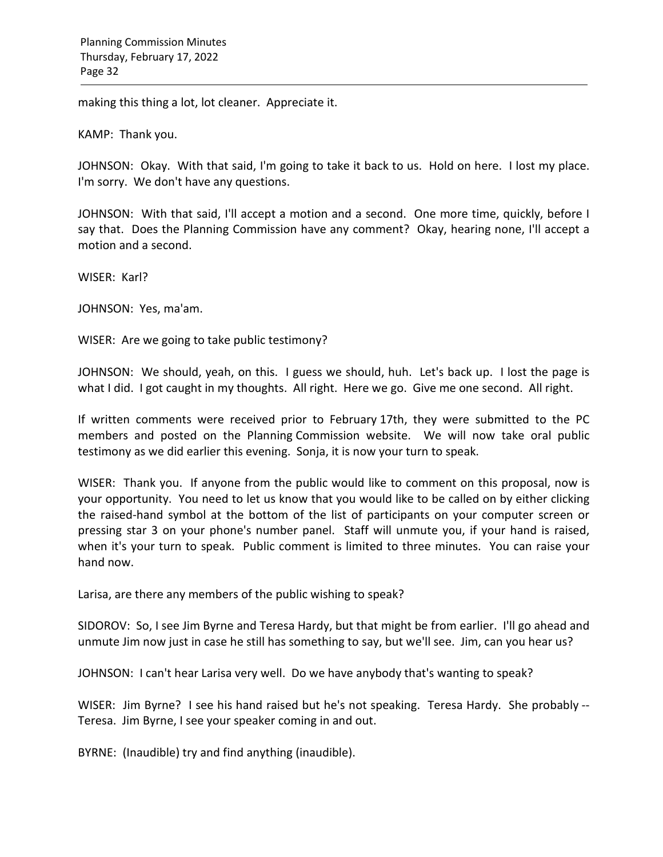making this thing a lot, lot cleaner. Appreciate it.

KAMP: Thank you.

JOHNSON: Okay. With that said, I'm going to take it back to us. Hold on here. I lost my place. I'm sorry. We don't have any questions.

JOHNSON: With that said, I'll accept a motion and a second. One more time, quickly, before I say that. Does the Planning Commission have any comment? Okay, hearing none, I'll accept a motion and a second.

WISER: Karl?

JOHNSON: Yes, ma'am.

WISER: Are we going to take public testimony?

JOHNSON: We should, yeah, on this. I guess we should, huh. Let's back up. I lost the page is what I did. I got caught in my thoughts. All right. Here we go. Give me one second. All right.

If written comments were received prior to February 17th, they were submitted to the PC members and posted on the Planning Commission website. We will now take oral public testimony as we did earlier this evening. Sonja, it is now your turn to speak.

WISER: Thank you. If anyone from the public would like to comment on this proposal, now is your opportunity. You need to let us know that you would like to be called on by either clicking the raised-hand symbol at the bottom of the list of participants on your computer screen or pressing star 3 on your phone's number panel. Staff will unmute you, if your hand is raised, when it's your turn to speak. Public comment is limited to three minutes. You can raise your hand now.

Larisa, are there any members of the public wishing to speak?

SIDOROV: So, I see Jim Byrne and Teresa Hardy, but that might be from earlier. I'll go ahead and unmute Jim now just in case he still has something to say, but we'll see. Jim, can you hear us?

JOHNSON: I can't hear Larisa very well. Do we have anybody that's wanting to speak?

WISER: Jim Byrne? I see his hand raised but he's not speaking. Teresa Hardy. She probably -- Teresa. Jim Byrne, I see your speaker coming in and out.

BYRNE: (Inaudible) try and find anything (inaudible).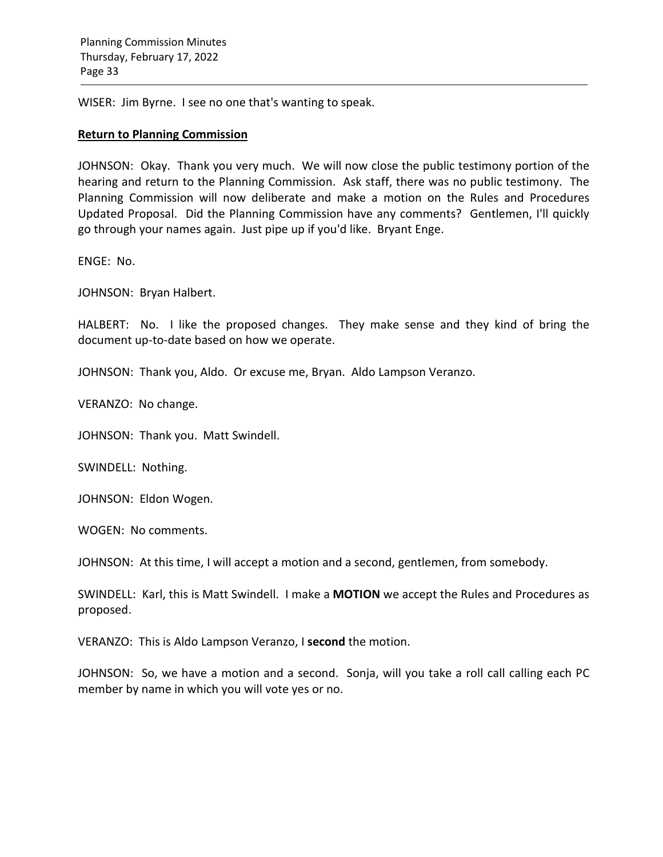WISER: Jim Byrne. I see no one that's wanting to speak.

### **Return to Planning Commission**

JOHNSON: Okay. Thank you very much. We will now close the public testimony portion of the hearing and return to the Planning Commission. Ask staff, there was no public testimony. The Planning Commission will now deliberate and make a motion on the Rules and Procedures Updated Proposal. Did the Planning Commission have any comments? Gentlemen, I'll quickly go through your names again. Just pipe up if you'd like. Bryant Enge.

ENGE: No.

JOHNSON: Bryan Halbert.

HALBERT: No. I like the proposed changes. They make sense and they kind of bring the document up-to-date based on how we operate.

JOHNSON: Thank you, Aldo. Or excuse me, Bryan. Aldo Lampson Veranzo.

VERANZO: No change.

JOHNSON: Thank you. Matt Swindell.

SWINDELL: Nothing.

JOHNSON: Eldon Wogen.

WOGEN: No comments.

JOHNSON: At this time, I will accept a motion and a second, gentlemen, from somebody.

SWINDELL: Karl, this is Matt Swindell. I make a **MOTION** we accept the Rules and Procedures as proposed.

VERANZO: This is Aldo Lampson Veranzo, I **second** the motion.

JOHNSON: So, we have a motion and a second. Sonja, will you take a roll call calling each PC member by name in which you will vote yes or no.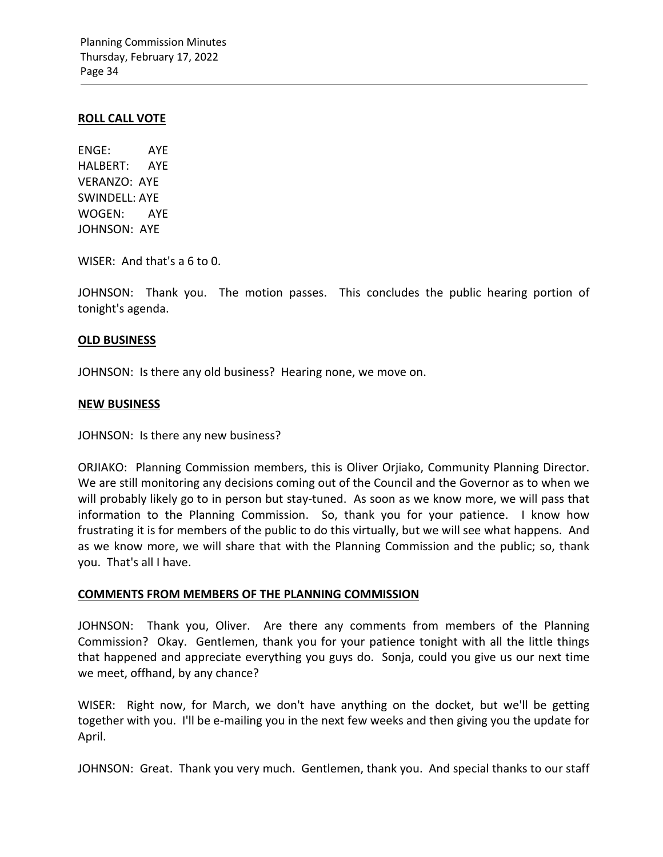### **ROLL CALL VOTE**

ENGE: AYE HALBERT: AYE VERANZO: AYE SWINDELL: AYE WOGEN: AYE JOHNSON: AYE

WISER: And that's a 6 to 0.

JOHNSON: Thank you. The motion passes. This concludes the public hearing portion of tonight's agenda.

### **OLD BUSINESS**

JOHNSON: Is there any old business? Hearing none, we move on.

### **NEW BUSINESS**

JOHNSON: Is there any new business?

ORJIAKO: Planning Commission members, this is Oliver Orjiako, Community Planning Director. We are still monitoring any decisions coming out of the Council and the Governor as to when we will probably likely go to in person but stay-tuned. As soon as we know more, we will pass that information to the Planning Commission. So, thank you for your patience. I know how frustrating it is for members of the public to do this virtually, but we will see what happens. And as we know more, we will share that with the Planning Commission and the public; so, thank you. That's all I have.

## **COMMENTS FROM MEMBERS OF THE PLANNING COMMISSION**

JOHNSON: Thank you, Oliver. Are there any comments from members of the Planning Commission? Okay. Gentlemen, thank you for your patience tonight with all the little things that happened and appreciate everything you guys do. Sonja, could you give us our next time we meet, offhand, by any chance?

WISER: Right now, for March, we don't have anything on the docket, but we'll be getting together with you. I'll be e-mailing you in the next few weeks and then giving you the update for April.

JOHNSON: Great. Thank you very much. Gentlemen, thank you. And special thanks to our staff